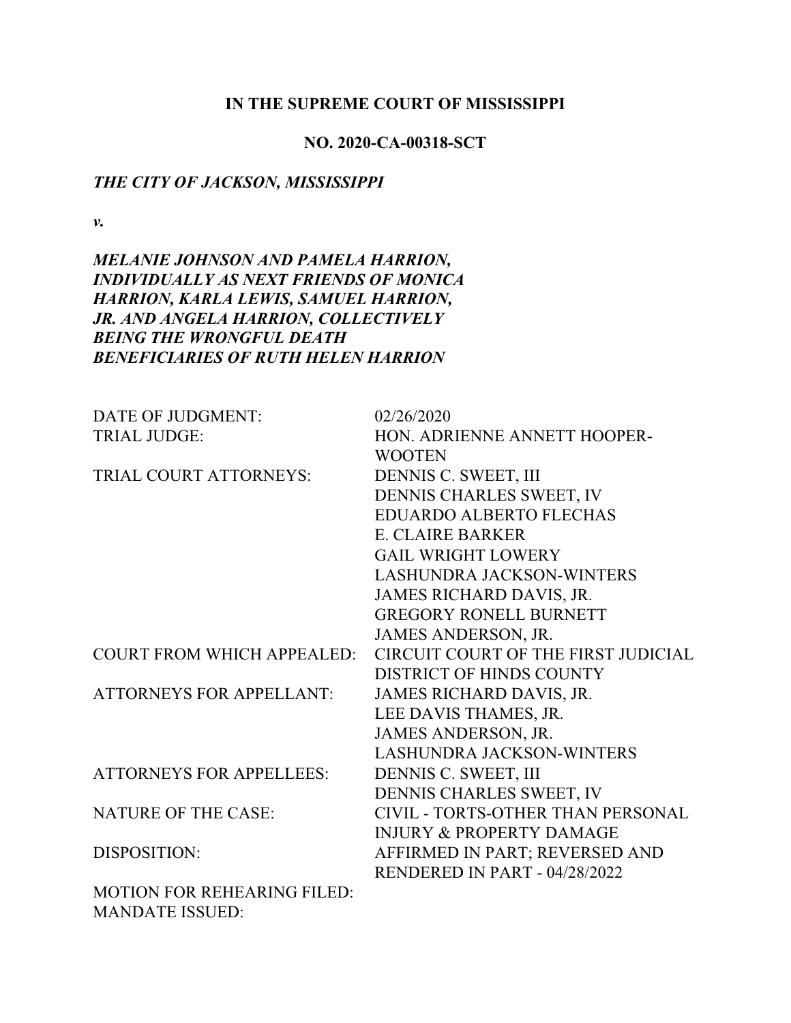### **IN THE SUPREME COURT OF MISSISSIPPI**

### **NO. 2020-CA-00318-SCT**

### *THE CITY OF JACKSON, MISSISSIPPI*

*v.*

# *MELANIE JOHNSON AND PAMELA HARRION, INDIVIDUALLY AS NEXT FRIENDS OF MONICA HARRION, KARLA LEWIS, SAMUEL HARRION, JR. AND ANGELA HARRION, COLLECTIVELY BEING THE WRONGFUL DEATH BENEFICIARIES OF RUTH HELEN HARRION*

| DATE OF JUDGMENT:                 | 02/26/2020                          |
|-----------------------------------|-------------------------------------|
| <b>TRIAL JUDGE:</b>               | HON. ADRIENNE ANNETT HOOPER-        |
|                                   | <b>WOOTEN</b>                       |
| <b>TRIAL COURT ATTORNEYS:</b>     | DENNIS C. SWEET, III                |
|                                   | DENNIS CHARLES SWEET, IV            |
|                                   | <b>EDUARDO ALBERTO FLECHAS</b>      |
|                                   | <b>E. CLAIRE BARKER</b>             |
|                                   | <b>GAIL WRIGHT LOWERY</b>           |
|                                   | <b>LASHUNDRA JACKSON-WINTERS</b>    |
|                                   | JAMES RICHARD DAVIS, JR.            |
|                                   | <b>GREGORY RONELL BURNETT</b>       |
|                                   | <b>JAMES ANDERSON, JR.</b>          |
| <b>COURT FROM WHICH APPEALED:</b> | CIRCUIT COURT OF THE FIRST JUDICIAL |
|                                   | <b>DISTRICT OF HINDS COUNTY</b>     |
| <b>ATTORNEYS FOR APPELLANT:</b>   | JAMES RICHARD DAVIS, JR.            |
|                                   | LEE DAVIS THAMES, JR.               |
|                                   | JAMES ANDERSON, JR.                 |
|                                   | <b>LASHUNDRA JACKSON-WINTERS</b>    |
| <b>ATTORNEYS FOR APPELLEES:</b>   | DENNIS C. SWEET, III                |
|                                   | DENNIS CHARLES SWEET, IV            |
| <b>NATURE OF THE CASE:</b>        | CIVIL - TORTS-OTHER THAN PERSONAL   |
|                                   | <b>INJURY &amp; PROPERTY DAMAGE</b> |
| DISPOSITION:                      | AFFIRMED IN PART; REVERSED AND      |
|                                   | RENDERED IN PART - 04/28/2022       |
| MOTION FOR REHEARING FILED:       |                                     |
| <b>MANDATE ISSUED:</b>            |                                     |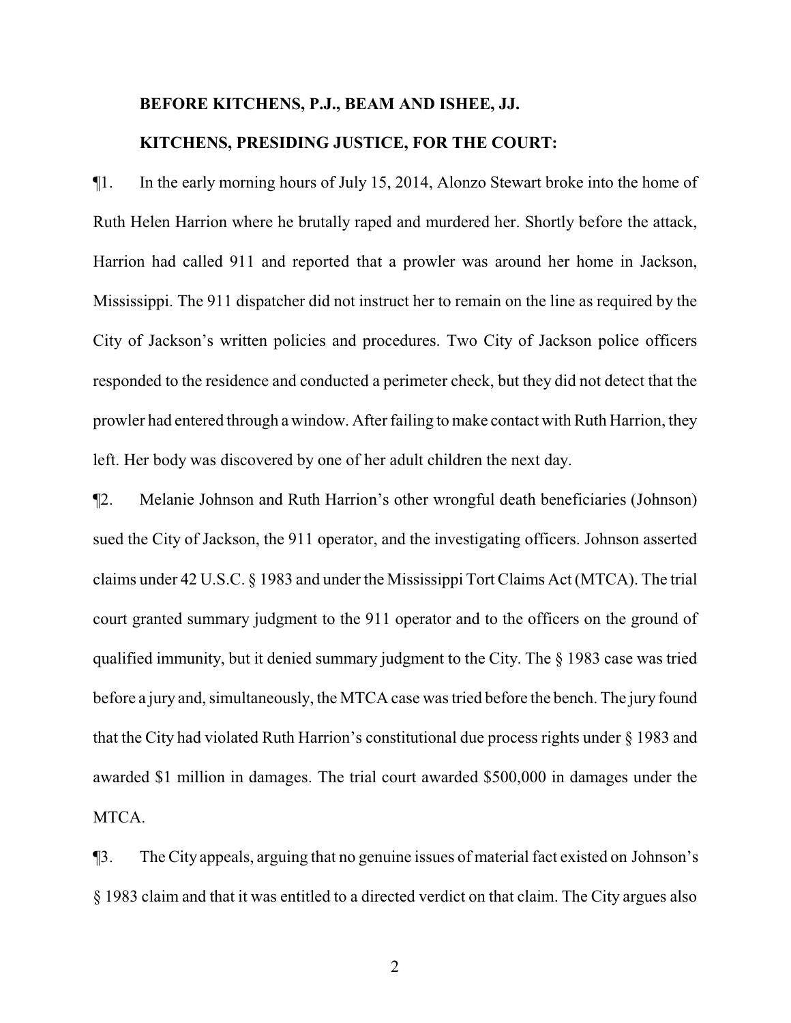# **BEFORE KITCHENS, P.J., BEAM AND ISHEE, JJ. KITCHENS, PRESIDING JUSTICE, FOR THE COURT:**

¶1. In the early morning hours of July 15, 2014, Alonzo Stewart broke into the home of Ruth Helen Harrion where he brutally raped and murdered her. Shortly before the attack, Harrion had called 911 and reported that a prowler was around her home in Jackson, Mississippi. The 911 dispatcher did not instruct her to remain on the line as required by the City of Jackson's written policies and procedures. Two City of Jackson police officers responded to the residence and conducted a perimeter check, but they did not detect that the prowler had entered through a window. After failing to make contact with Ruth Harrion, they left. Her body was discovered by one of her adult children the next day.

¶2. Melanie Johnson and Ruth Harrion's other wrongful death beneficiaries (Johnson) sued the City of Jackson, the 911 operator, and the investigating officers. Johnson asserted claims under 42 U.S.C. § 1983 and under the Mississippi Tort Claims Act (MTCA). The trial court granted summary judgment to the 911 operator and to the officers on the ground of qualified immunity, but it denied summary judgment to the City. The § 1983 case was tried before a jury and, simultaneously, the MTCA case was tried before the bench. The jury found that the City had violated Ruth Harrion's constitutional due process rights under § 1983 and awarded \$1 million in damages. The trial court awarded \$500,000 in damages under the MTCA.

¶3. The City appeals, arguing that no genuine issues of material fact existed on Johnson's § 1983 claim and that it was entitled to a directed verdict on that claim. The City argues also

2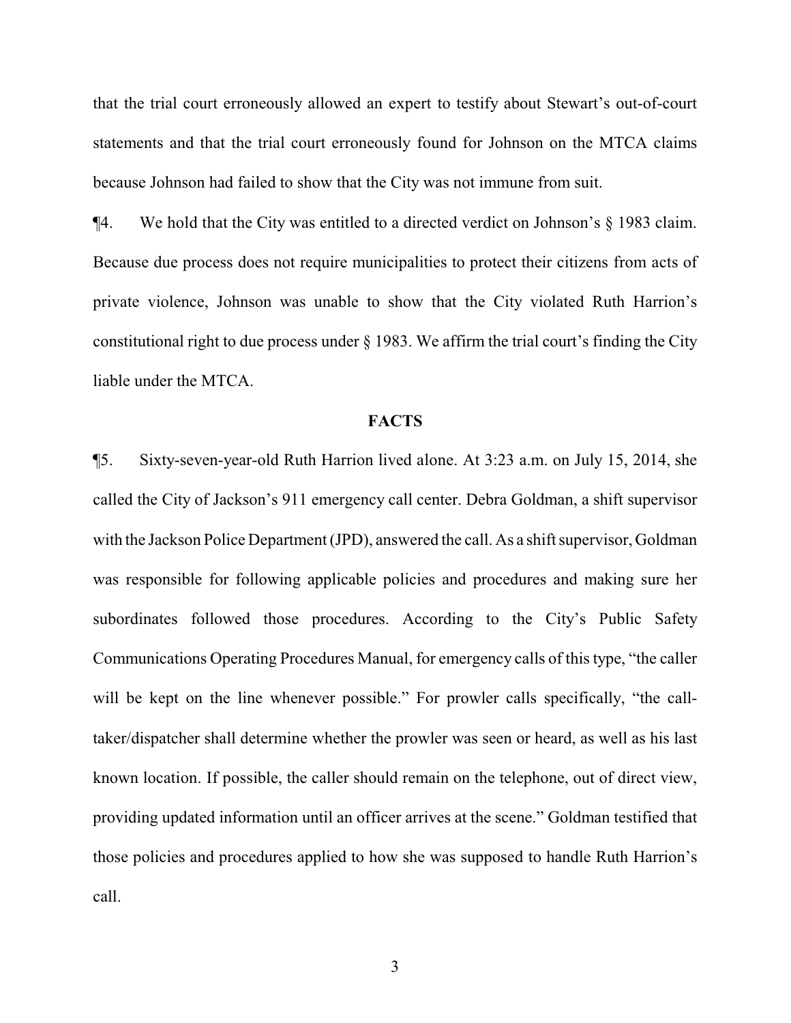that the trial court erroneously allowed an expert to testify about Stewart's out-of-court statements and that the trial court erroneously found for Johnson on the MTCA claims because Johnson had failed to show that the City was not immune from suit.

¶4. We hold that the City was entitled to a directed verdict on Johnson's § 1983 claim. Because due process does not require municipalities to protect their citizens from acts of private violence, Johnson was unable to show that the City violated Ruth Harrion's constitutional right to due process under § 1983. We affirm the trial court's finding the City liable under the MTCA.

#### **FACTS**

¶5. Sixty-seven-year-old Ruth Harrion lived alone. At 3:23 a.m. on July 15, 2014, she called the City of Jackson's 911 emergency call center. Debra Goldman, a shift supervisor with the Jackson Police Department (JPD), answered the call. As a shift supervisor, Goldman was responsible for following applicable policies and procedures and making sure her subordinates followed those procedures. According to the City's Public Safety Communications Operating Procedures Manual, for emergency calls of this type, "the caller will be kept on the line whenever possible." For prowler calls specifically, "the calltaker/dispatcher shall determine whether the prowler was seen or heard, as well as his last known location. If possible, the caller should remain on the telephone, out of direct view, providing updated information until an officer arrives at the scene." Goldman testified that those policies and procedures applied to how she was supposed to handle Ruth Harrion's call.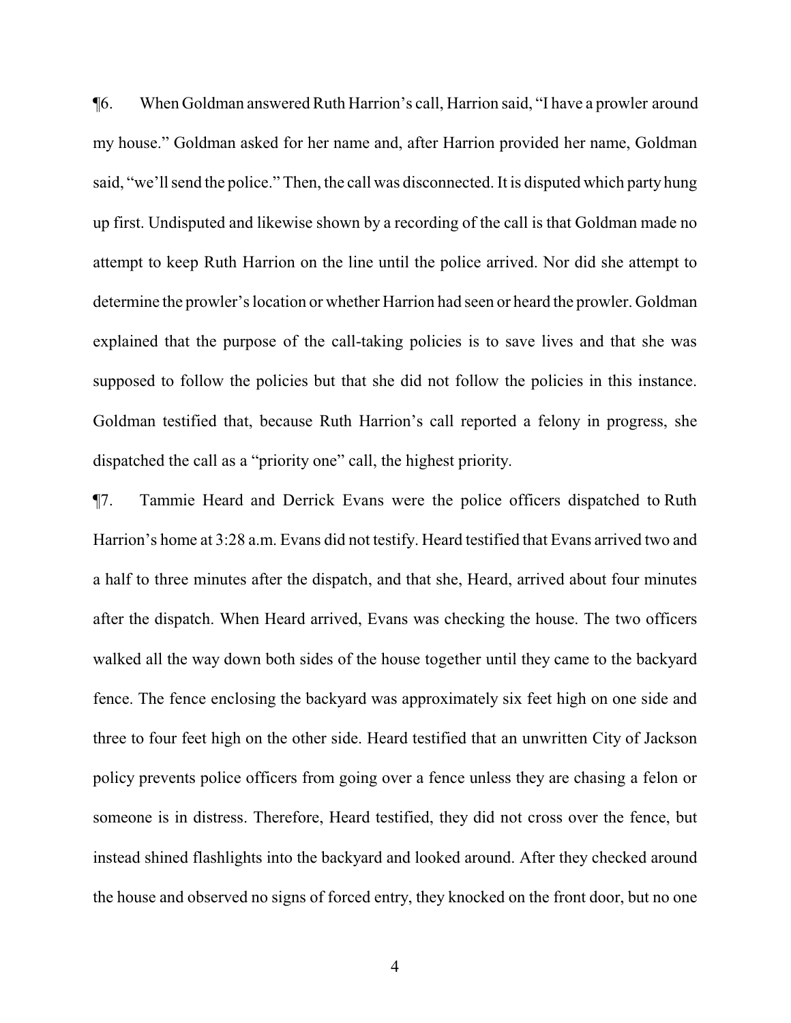¶6. When Goldman answered Ruth Harrion's call, Harrion said, "I have a prowler around my house." Goldman asked for her name and, after Harrion provided her name, Goldman said, "we'll send the police." Then, the call was disconnected. It is disputed which party hung up first. Undisputed and likewise shown by a recording of the call is that Goldman made no attempt to keep Ruth Harrion on the line until the police arrived. Nor did she attempt to determine the prowler's location or whether Harrion had seen or heard the prowler. Goldman explained that the purpose of the call-taking policies is to save lives and that she was supposed to follow the policies but that she did not follow the policies in this instance. Goldman testified that, because Ruth Harrion's call reported a felony in progress, she dispatched the call as a "priority one" call, the highest priority.

¶7. Tammie Heard and Derrick Evans were the police officers dispatched to Ruth Harrion's home at 3:28 a.m. Evans did not testify. Heard testified that Evans arrived two and a half to three minutes after the dispatch, and that she, Heard, arrived about four minutes after the dispatch. When Heard arrived, Evans was checking the house. The two officers walked all the way down both sides of the house together until they came to the backyard fence. The fence enclosing the backyard was approximately six feet high on one side and three to four feet high on the other side. Heard testified that an unwritten City of Jackson policy prevents police officers from going over a fence unless they are chasing a felon or someone is in distress. Therefore, Heard testified, they did not cross over the fence, but instead shined flashlights into the backyard and looked around. After they checked around the house and observed no signs of forced entry, they knocked on the front door, but no one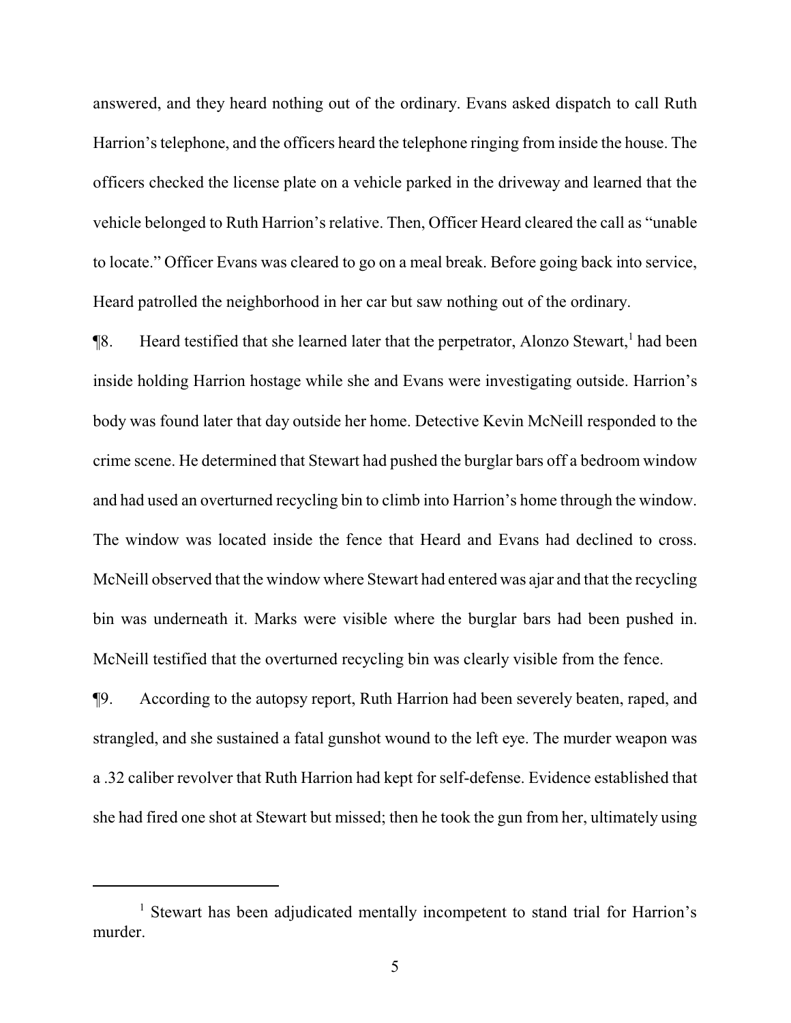answered, and they heard nothing out of the ordinary. Evans asked dispatch to call Ruth Harrion's telephone, and the officers heard the telephone ringing from inside the house. The officers checked the license plate on a vehicle parked in the driveway and learned that the vehicle belonged to Ruth Harrion's relative. Then, Officer Heard cleared the call as "unable to locate." Officer Evans was cleared to go on a meal break. Before going back into service, Heard patrolled the neighborhood in her car but saw nothing out of the ordinary.

¶8. Heard testified that she learned later that the perpetrator, Alonzo Stewart,<sup>1</sup> had been inside holding Harrion hostage while she and Evans were investigating outside. Harrion's body was found later that day outside her home. Detective Kevin McNeill responded to the crime scene. He determined that Stewart had pushed the burglar bars off a bedroom window and had used an overturned recycling bin to climb into Harrion's home through the window. The window was located inside the fence that Heard and Evans had declined to cross. McNeill observed that the window where Stewart had entered was ajar and that the recycling bin was underneath it. Marks were visible where the burglar bars had been pushed in. McNeill testified that the overturned recycling bin was clearly visible from the fence.

¶9. According to the autopsy report, Ruth Harrion had been severely beaten, raped, and strangled, and she sustained a fatal gunshot wound to the left eye. The murder weapon was a .32 caliber revolver that Ruth Harrion had kept for self-defense. Evidence established that she had fired one shot at Stewart but missed; then he took the gun from her, ultimately using

<sup>&</sup>lt;sup>1</sup> Stewart has been adjudicated mentally incompetent to stand trial for Harrion's murder.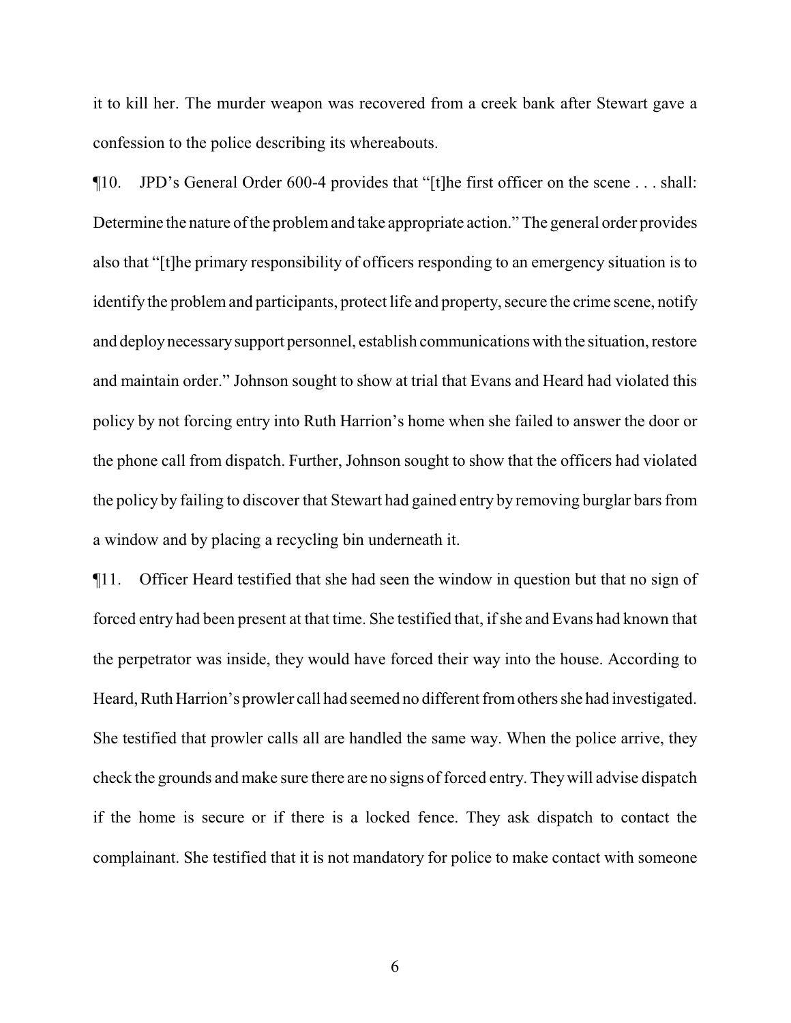it to kill her. The murder weapon was recovered from a creek bank after Stewart gave a confession to the police describing its whereabouts.

¶10. JPD's General Order 600-4 provides that "[t]he first officer on the scene . . . shall: Determine the nature of the problem and take appropriate action." The general order provides also that "[t]he primary responsibility of officers responding to an emergency situation is to identify the problemand participants, protect life and property, secure the crime scene, notify and deploynecessarysupport personnel, establish communications with the situation, restore and maintain order." Johnson sought to show at trial that Evans and Heard had violated this policy by not forcing entry into Ruth Harrion's home when she failed to answer the door or the phone call from dispatch. Further, Johnson sought to show that the officers had violated the policy by failing to discover that Stewart had gained entry by removing burglar bars from a window and by placing a recycling bin underneath it.

¶11. Officer Heard testified that she had seen the window in question but that no sign of forced entry had been present at that time. She testified that, if she and Evans had known that the perpetrator was inside, they would have forced their way into the house. According to Heard, Ruth Harrion's prowler call had seemed no different fromothers she had investigated. She testified that prowler calls all are handled the same way. When the police arrive, they check the grounds and make sure there are no signs of forced entry. Theywill advise dispatch if the home is secure or if there is a locked fence. They ask dispatch to contact the complainant. She testified that it is not mandatory for police to make contact with someone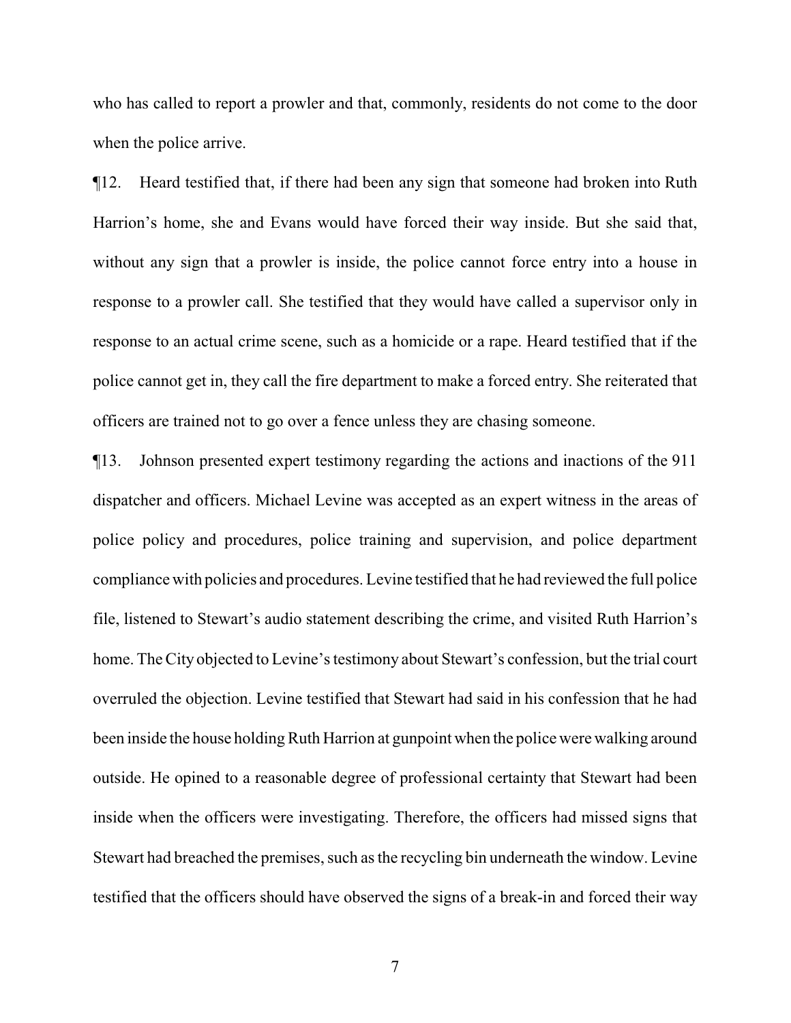who has called to report a prowler and that, commonly, residents do not come to the door when the police arrive.

¶12. Heard testified that, if there had been any sign that someone had broken into Ruth Harrion's home, she and Evans would have forced their way inside. But she said that, without any sign that a prowler is inside, the police cannot force entry into a house in response to a prowler call. She testified that they would have called a supervisor only in response to an actual crime scene, such as a homicide or a rape. Heard testified that if the police cannot get in, they call the fire department to make a forced entry. She reiterated that officers are trained not to go over a fence unless they are chasing someone.

¶13. Johnson presented expert testimony regarding the actions and inactions of the 911 dispatcher and officers. Michael Levine was accepted as an expert witness in the areas of police policy and procedures, police training and supervision, and police department compliance with policies and procedures. Levine testified that he had reviewed the full police file, listened to Stewart's audio statement describing the crime, and visited Ruth Harrion's home. The City objected to Levine's testimony about Stewart's confession, but the trial court overruled the objection. Levine testified that Stewart had said in his confession that he had been inside the house holding Ruth Harrion at gunpoint when the police were walking around outside. He opined to a reasonable degree of professional certainty that Stewart had been inside when the officers were investigating. Therefore, the officers had missed signs that Stewart had breached the premises, such as the recycling bin underneath the window. Levine testified that the officers should have observed the signs of a break-in and forced their way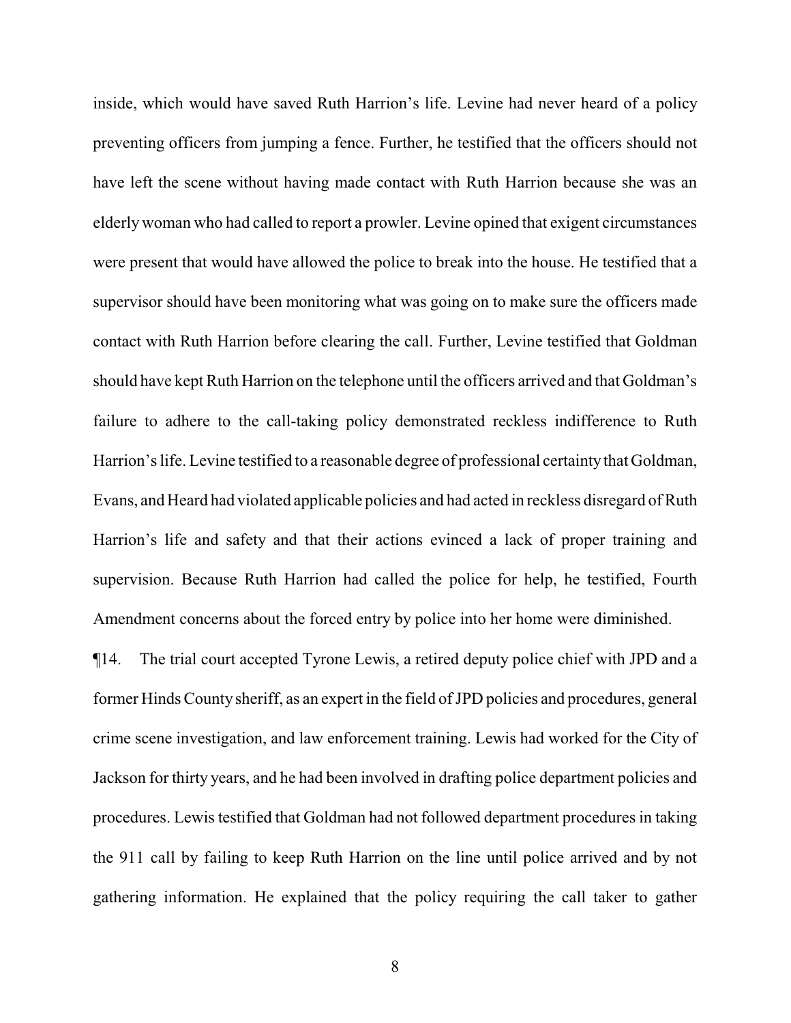inside, which would have saved Ruth Harrion's life. Levine had never heard of a policy preventing officers from jumping a fence. Further, he testified that the officers should not have left the scene without having made contact with Ruth Harrion because she was an elderlywoman who had called to report a prowler. Levine opined that exigent circumstances were present that would have allowed the police to break into the house. He testified that a supervisor should have been monitoring what was going on to make sure the officers made contact with Ruth Harrion before clearing the call. Further, Levine testified that Goldman should have kept Ruth Harrion on the telephone until the officers arrived and that Goldman's failure to adhere to the call-taking policy demonstrated reckless indifference to Ruth Harrion's life. Levine testified to a reasonable degree of professional certainty that Goldman, Evans, and Heard had violated applicable policies and had acted in reckless disregard ofRuth Harrion's life and safety and that their actions evinced a lack of proper training and supervision. Because Ruth Harrion had called the police for help, he testified, Fourth Amendment concerns about the forced entry by police into her home were diminished.

¶14. The trial court accepted Tyrone Lewis, a retired deputy police chief with JPD and a former Hinds County sheriff, as an expert in the field of JPD policies and procedures, general crime scene investigation, and law enforcement training. Lewis had worked for the City of Jackson for thirty years, and he had been involved in drafting police department policies and procedures. Lewis testified that Goldman had not followed department procedures in taking the 911 call by failing to keep Ruth Harrion on the line until police arrived and by not gathering information. He explained that the policy requiring the call taker to gather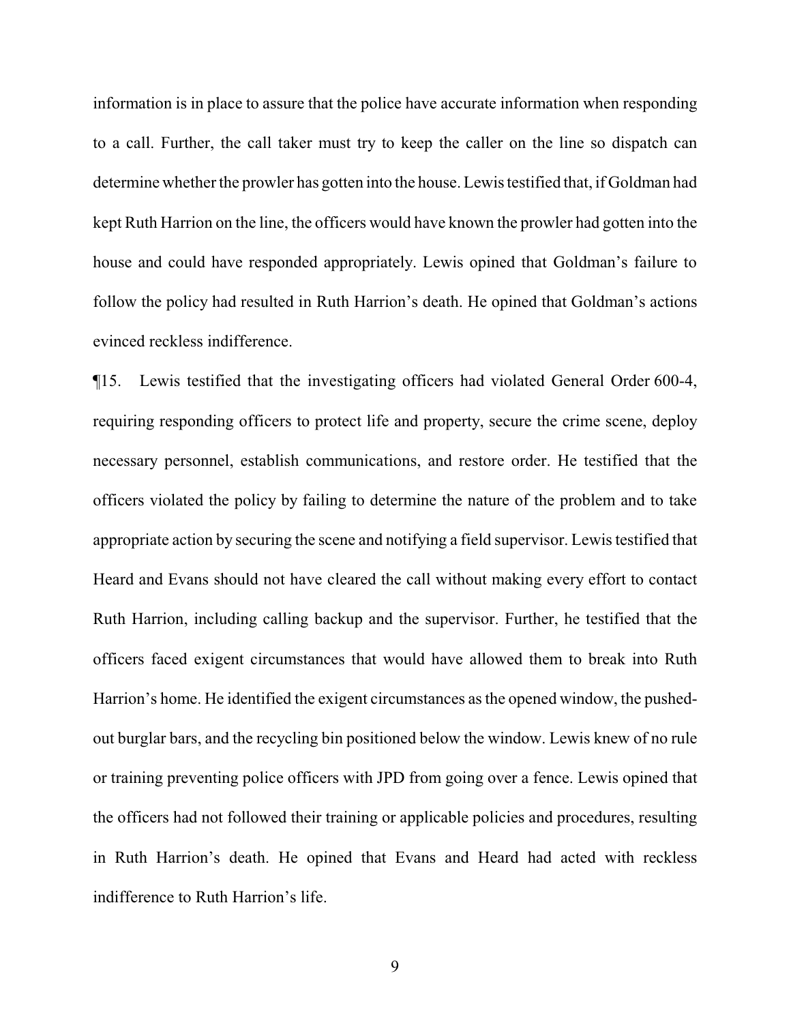information is in place to assure that the police have accurate information when responding to a call. Further, the call taker must try to keep the caller on the line so dispatch can determine whether the prowler has gotten into the house. Lewis testified that, if Goldman had kept Ruth Harrion on the line, the officers would have known the prowler had gotten into the house and could have responded appropriately. Lewis opined that Goldman's failure to follow the policy had resulted in Ruth Harrion's death. He opined that Goldman's actions evinced reckless indifference.

¶15. Lewis testified that the investigating officers had violated General Order 600-4, requiring responding officers to protect life and property, secure the crime scene, deploy necessary personnel, establish communications, and restore order. He testified that the officers violated the policy by failing to determine the nature of the problem and to take appropriate action by securing the scene and notifying a field supervisor. Lewis testified that Heard and Evans should not have cleared the call without making every effort to contact Ruth Harrion, including calling backup and the supervisor. Further, he testified that the officers faced exigent circumstances that would have allowed them to break into Ruth Harrion's home. He identified the exigent circumstances as the opened window, the pushedout burglar bars, and the recycling bin positioned below the window. Lewis knew of no rule or training preventing police officers with JPD from going over a fence. Lewis opined that the officers had not followed their training or applicable policies and procedures, resulting in Ruth Harrion's death. He opined that Evans and Heard had acted with reckless indifference to Ruth Harrion's life.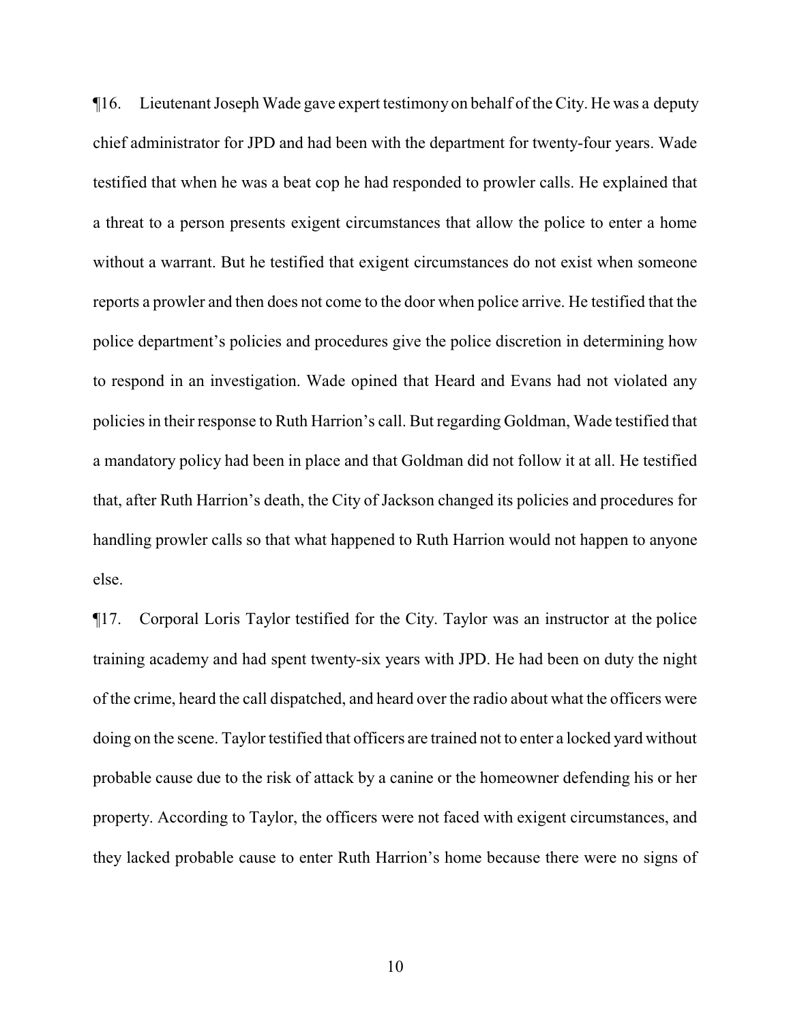¶16. Lieutenant Joseph Wade gave expert testimony on behalf of the City. He was a deputy chief administrator for JPD and had been with the department for twenty-four years. Wade testified that when he was a beat cop he had responded to prowler calls. He explained that a threat to a person presents exigent circumstances that allow the police to enter a home without a warrant. But he testified that exigent circumstances do not exist when someone reports a prowler and then does not come to the door when police arrive. He testified that the police department's policies and procedures give the police discretion in determining how to respond in an investigation. Wade opined that Heard and Evans had not violated any policies in their response to Ruth Harrion's call. But regarding Goldman, Wade testified that a mandatory policy had been in place and that Goldman did not follow it at all. He testified that, after Ruth Harrion's death, the City of Jackson changed its policies and procedures for handling prowler calls so that what happened to Ruth Harrion would not happen to anyone else.

¶17. Corporal Loris Taylor testified for the City. Taylor was an instructor at the police training academy and had spent twenty-six years with JPD. He had been on duty the night of the crime, heard the call dispatched, and heard over the radio about what the officers were doing on the scene. Taylor testified that officers are trained not to enter a locked yard without probable cause due to the risk of attack by a canine or the homeowner defending his or her property. According to Taylor, the officers were not faced with exigent circumstances, and they lacked probable cause to enter Ruth Harrion's home because there were no signs of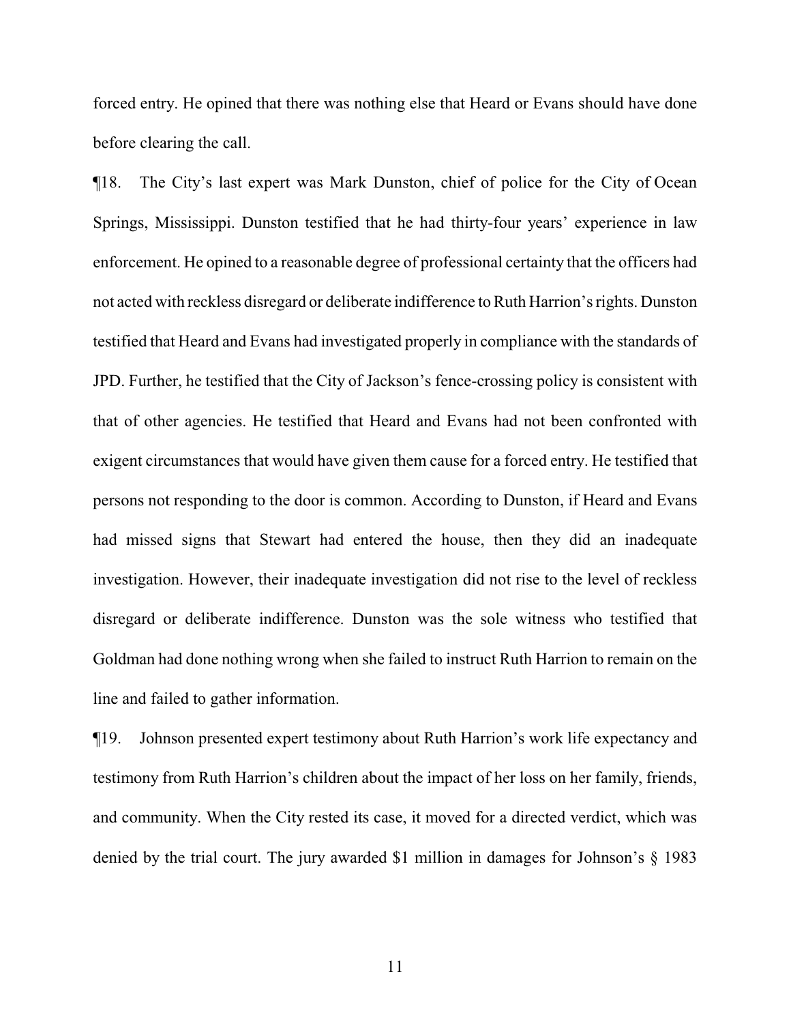forced entry. He opined that there was nothing else that Heard or Evans should have done before clearing the call.

¶18. The City's last expert was Mark Dunston, chief of police for the City of Ocean Springs, Mississippi. Dunston testified that he had thirty-four years' experience in law enforcement. He opined to a reasonable degree of professional certainty that the officers had not acted with reckless disregard or deliberate indifference to Ruth Harrion's rights. Dunston testified that Heard and Evans had investigated properly in compliance with the standards of JPD. Further, he testified that the City of Jackson's fence-crossing policy is consistent with that of other agencies. He testified that Heard and Evans had not been confronted with exigent circumstances that would have given them cause for a forced entry. He testified that persons not responding to the door is common. According to Dunston, if Heard and Evans had missed signs that Stewart had entered the house, then they did an inadequate investigation. However, their inadequate investigation did not rise to the level of reckless disregard or deliberate indifference. Dunston was the sole witness who testified that Goldman had done nothing wrong when she failed to instruct Ruth Harrion to remain on the line and failed to gather information.

¶19. Johnson presented expert testimony about Ruth Harrion's work life expectancy and testimony from Ruth Harrion's children about the impact of her loss on her family, friends, and community. When the City rested its case, it moved for a directed verdict, which was denied by the trial court. The jury awarded \$1 million in damages for Johnson's § 1983

11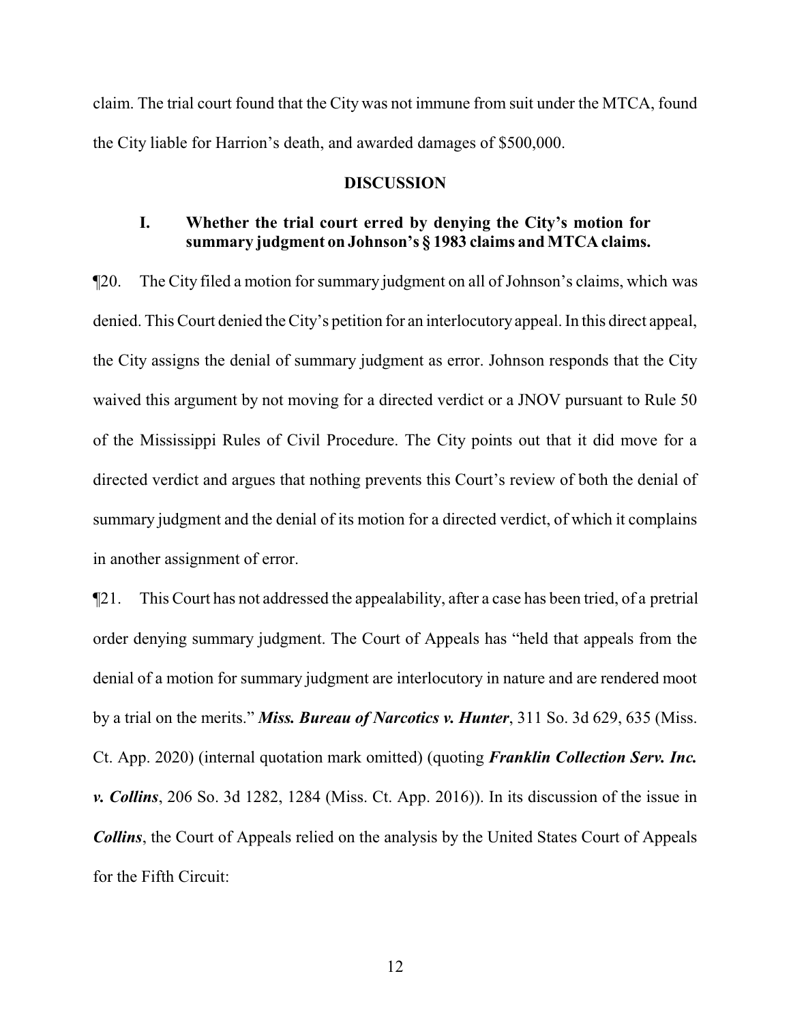claim. The trial court found that the City was not immune from suit under the MTCA, found the City liable for Harrion's death, and awarded damages of \$500,000.

#### **DISCUSSION**

# **I. Whether the trial court erred by denying the City's motion for summary judgment on Johnson's § 1983 claims and MTCA claims.**

¶20. The City filed a motion for summary judgment on all of Johnson's claims, which was denied. This Court denied the City's petition for an interlocutory appeal. In this direct appeal, the City assigns the denial of summary judgment as error. Johnson responds that the City waived this argument by not moving for a directed verdict or a JNOV pursuant to Rule 50 of the Mississippi Rules of Civil Procedure. The City points out that it did move for a directed verdict and argues that nothing prevents this Court's review of both the denial of summary judgment and the denial of its motion for a directed verdict, of which it complains in another assignment of error.

¶21. This Court has not addressed the appealability, after a case has been tried, of a pretrial order denying summary judgment. The Court of Appeals has "held that appeals from the denial of a motion for summary judgment are interlocutory in nature and are rendered moot by a trial on the merits." *Miss. Bureau of Narcotics v. Hunter*, 311 So. 3d 629, 635 (Miss. Ct. App. 2020) (internal quotation mark omitted) (quoting *Franklin Collection Serv. Inc. v. Collins*, 206 So. 3d 1282, 1284 (Miss. Ct. App. 2016)). In its discussion of the issue in *Collins*, the Court of Appeals relied on the analysis by the United States Court of Appeals for the Fifth Circuit: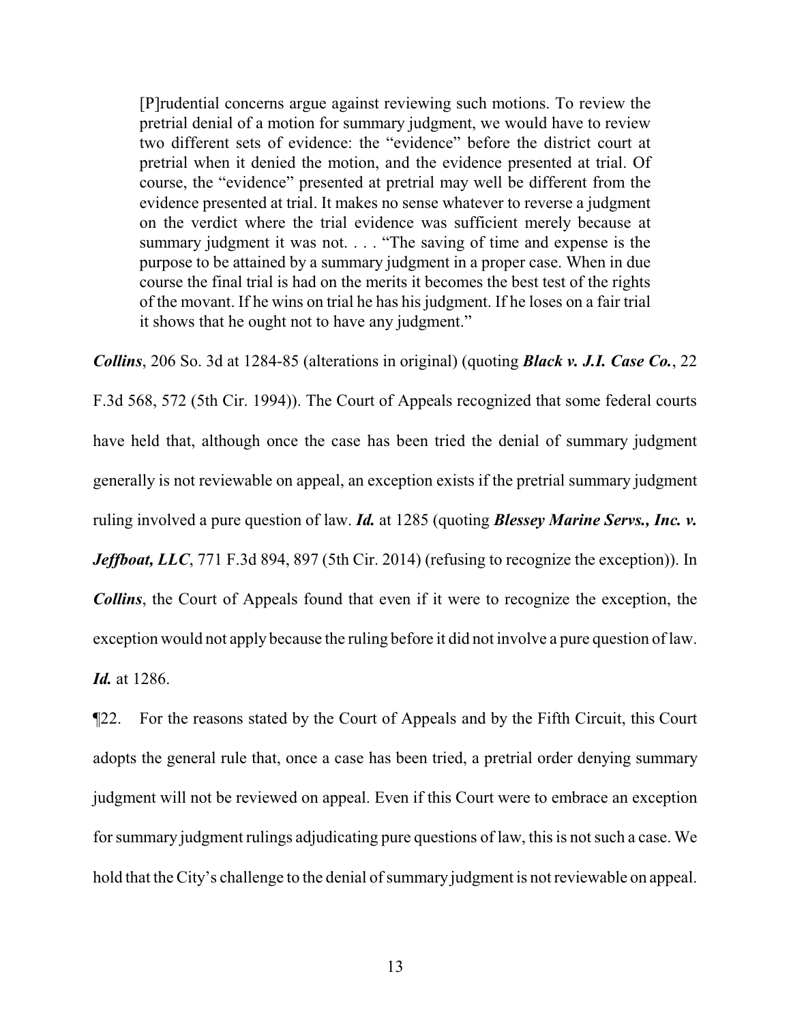[P]rudential concerns argue against reviewing such motions. To review the pretrial denial of a motion for summary judgment, we would have to review two different sets of evidence: the "evidence" before the district court at pretrial when it denied the motion, and the evidence presented at trial. Of course, the "evidence" presented at pretrial may well be different from the evidence presented at trial. It makes no sense whatever to reverse a judgment on the verdict where the trial evidence was sufficient merely because at summary judgment it was not. . . . "The saving of time and expense is the purpose to be attained by a summary judgment in a proper case. When in due course the final trial is had on the merits it becomes the best test of the rights of the movant. If he wins on trial he has his judgment. If he loses on a fair trial it shows that he ought not to have any judgment."

*Collins*, 206 So. 3d at 1284-85 (alterations in original) (quoting *Black v. J.I. Case Co.*, 22 F.3d 568, 572 (5th Cir. 1994)). The Court of Appeals recognized that some federal courts have held that, although once the case has been tried the denial of summary judgment generally is not reviewable on appeal, an exception exists if the pretrial summary judgment ruling involved a pure question of law. *Id.* at 1285 (quoting *Blessey Marine Servs., Inc. v. Jeffboat, LLC*, 771 F.3d 894, 897 (5th Cir. 2014) (refusing to recognize the exception)). In *Collins*, the Court of Appeals found that even if it were to recognize the exception, the exception would not apply because the ruling before it did not involve a pure question of law. *Id.* at 1286.

¶22. For the reasons stated by the Court of Appeals and by the Fifth Circuit, this Court adopts the general rule that, once a case has been tried, a pretrial order denying summary judgment will not be reviewed on appeal. Even if this Court were to embrace an exception for summary judgment rulings adjudicating pure questions of law, this is not such a case. We hold that the City's challenge to the denial of summary judgment is not reviewable on appeal.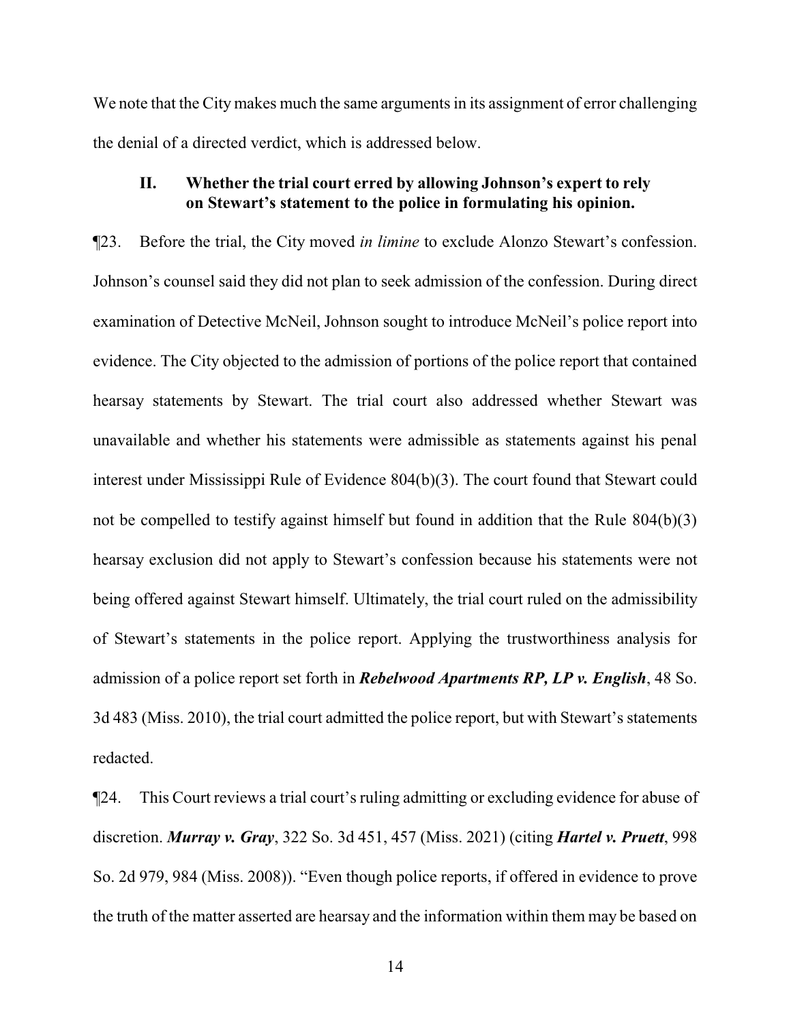We note that the City makes much the same arguments in its assignment of error challenging the denial of a directed verdict, which is addressed below.

# **II. Whether the trial court erred by allowing Johnson's expert to rely on Stewart's statement to the police in formulating his opinion.**

¶23. Before the trial, the City moved *in limine* to exclude Alonzo Stewart's confession. Johnson's counsel said they did not plan to seek admission of the confession. During direct examination of Detective McNeil, Johnson sought to introduce McNeil's police report into evidence. The City objected to the admission of portions of the police report that contained hearsay statements by Stewart. The trial court also addressed whether Stewart was unavailable and whether his statements were admissible as statements against his penal interest under Mississippi Rule of Evidence 804(b)(3). The court found that Stewart could not be compelled to testify against himself but found in addition that the Rule 804(b)(3) hearsay exclusion did not apply to Stewart's confession because his statements were not being offered against Stewart himself. Ultimately, the trial court ruled on the admissibility of Stewart's statements in the police report. Applying the trustworthiness analysis for admission of a police report set forth in *Rebelwood Apartments RP, LP v. English*, 48 So. 3d 483 (Miss. 2010), the trial court admitted the police report, but with Stewart's statements redacted.

¶24. This Court reviews a trial court's ruling admitting or excluding evidence for abuse of discretion. *Murray v. Gray*, 322 So. 3d 451, 457 (Miss. 2021) (citing *Hartel v. Pruett*, 998 So. 2d 979, 984 (Miss. 2008)). "Even though police reports, if offered in evidence to prove the truth of the matter asserted are hearsay and the information within them may be based on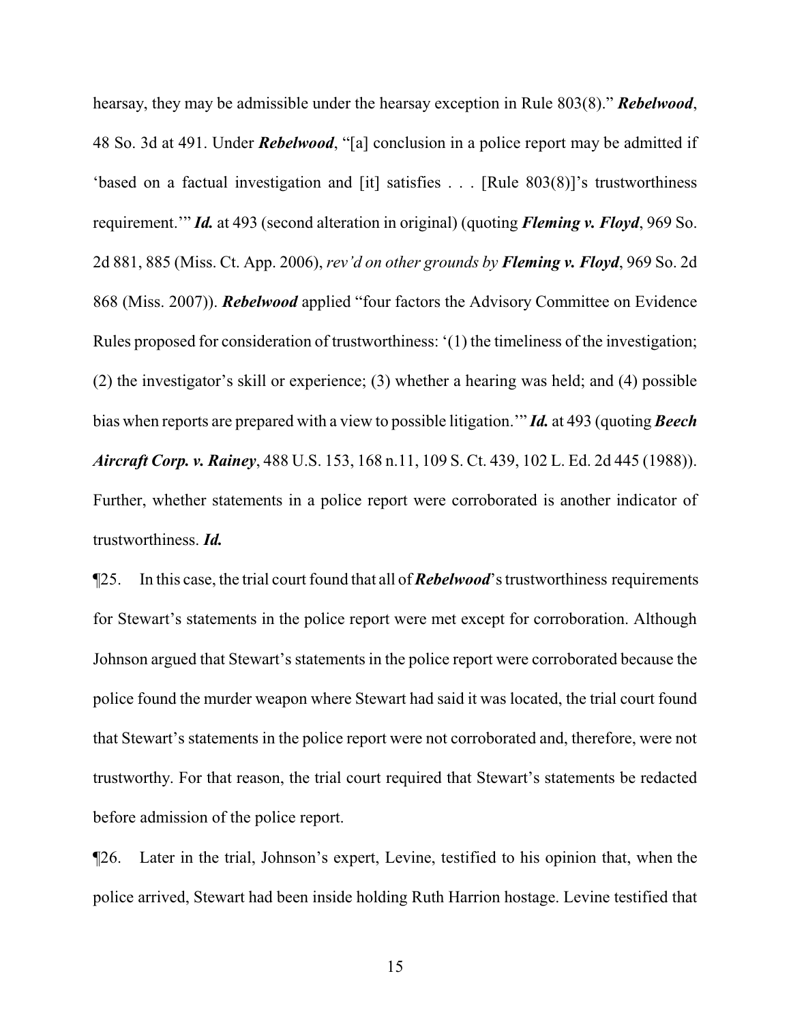hearsay, they may be admissible under the hearsay exception in Rule 803(8)." *Rebelwood*, 48 So. 3d at 491. Under *Rebelwood*, "[a] conclusion in a police report may be admitted if 'based on a factual investigation and [it] satisfies . . . [Rule 803(8)]'s trustworthiness requirement.'" *Id.* at 493 (second alteration in original) (quoting *Fleming v. Floyd*, 969 So. 2d 881, 885 (Miss. Ct. App. 2006), *rev'd on other grounds by Fleming v. Floyd*, 969 So. 2d 868 (Miss. 2007)). *Rebelwood* applied "four factors the Advisory Committee on Evidence Rules proposed for consideration of trustworthiness: '(1) the timeliness of the investigation; (2) the investigator's skill or experience; (3) whether a hearing was held; and (4) possible bias when reports are prepared with a view to possible litigation.'" *Id.* at 493 (quoting *Beech Aircraft Corp. v. Rainey*, 488 U.S. 153, 168 n.11, 109 S. Ct. 439, 102 L. Ed. 2d 445 (1988)). Further, whether statements in a police report were corroborated is another indicator of trustworthiness. *Id.*

¶25. In this case, the trial court found that all of *Rebelwood*'s trustworthiness requirements for Stewart's statements in the police report were met except for corroboration. Although Johnson argued that Stewart's statements in the police report were corroborated because the police found the murder weapon where Stewart had said it was located, the trial court found that Stewart's statements in the police report were not corroborated and, therefore, were not trustworthy. For that reason, the trial court required that Stewart's statements be redacted before admission of the police report.

¶26. Later in the trial, Johnson's expert, Levine, testified to his opinion that, when the police arrived, Stewart had been inside holding Ruth Harrion hostage. Levine testified that

15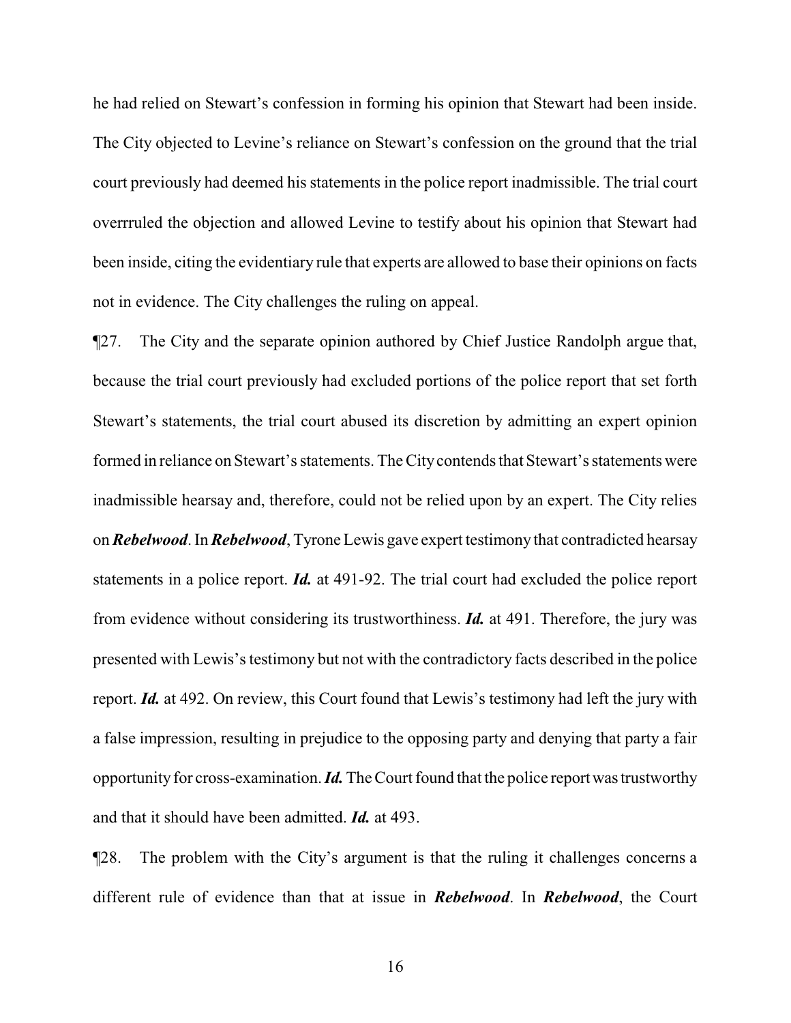he had relied on Stewart's confession in forming his opinion that Stewart had been inside. The City objected to Levine's reliance on Stewart's confession on the ground that the trial court previously had deemed his statements in the police report inadmissible. The trial court overrruled the objection and allowed Levine to testify about his opinion that Stewart had been inside, citing the evidentiary rule that experts are allowed to base their opinions on facts not in evidence. The City challenges the ruling on appeal.

¶27. The City and the separate opinion authored by Chief Justice Randolph argue that, because the trial court previously had excluded portions of the police report that set forth Stewart's statements, the trial court abused its discretion by admitting an expert opinion formed in reliance on Stewart's statements. The Citycontends that Stewart's statements were inadmissible hearsay and, therefore, could not be relied upon by an expert. The City relies on *Rebelwood*. In *Rebelwood*, Tyrone Lewis gave expert testimony that contradicted hearsay statements in a police report. *Id.* at 491-92. The trial court had excluded the police report from evidence without considering its trustworthiness. *Id.* at 491. Therefore, the jury was presented with Lewis's testimony but not with the contradictory facts described in the police report. *Id.* at 492. On review, this Court found that Lewis's testimony had left the jury with a false impression, resulting in prejudice to the opposing party and denying that party a fair opportunity for cross-examination. *Id*. The Court found that the police report was trustworthy and that it should have been admitted. *Id.* at 493.

¶28. The problem with the City's argument is that the ruling it challenges concerns a different rule of evidence than that at issue in *Rebelwood*. In *Rebelwood*, the Court

16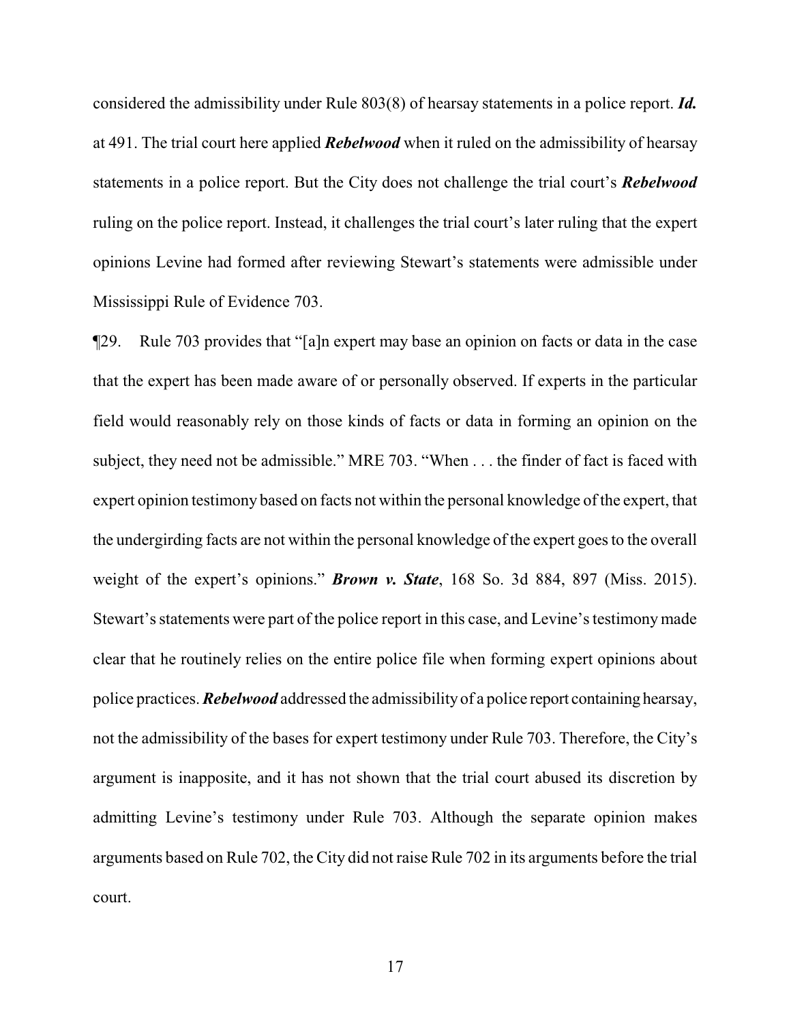considered the admissibility under Rule 803(8) of hearsay statements in a police report. *Id.* at 491. The trial court here applied *Rebelwood* when it ruled on the admissibility of hearsay statements in a police report. But the City does not challenge the trial court's *Rebelwood* ruling on the police report. Instead, it challenges the trial court's later ruling that the expert opinions Levine had formed after reviewing Stewart's statements were admissible under Mississippi Rule of Evidence 703.

¶29. Rule 703 provides that "[a]n expert may base an opinion on facts or data in the case that the expert has been made aware of or personally observed. If experts in the particular field would reasonably rely on those kinds of facts or data in forming an opinion on the subject, they need not be admissible." MRE 703. "When . . . the finder of fact is faced with expert opinion testimony based on facts not within the personal knowledge of the expert, that the undergirding facts are not within the personal knowledge of the expert goes to the overall weight of the expert's opinions." *Brown v. State*, 168 So. 3d 884, 897 (Miss. 2015). Stewart's statements were part of the police report in this case, and Levine's testimonymade clear that he routinely relies on the entire police file when forming expert opinions about police practices. *Rebelwood* addressed the admissibilityof a police report containing hearsay, not the admissibility of the bases for expert testimony under Rule 703. Therefore, the City's argument is inapposite, and it has not shown that the trial court abused its discretion by admitting Levine's testimony under Rule 703. Although the separate opinion makes arguments based on Rule 702, the City did not raise Rule 702 in its arguments before the trial court.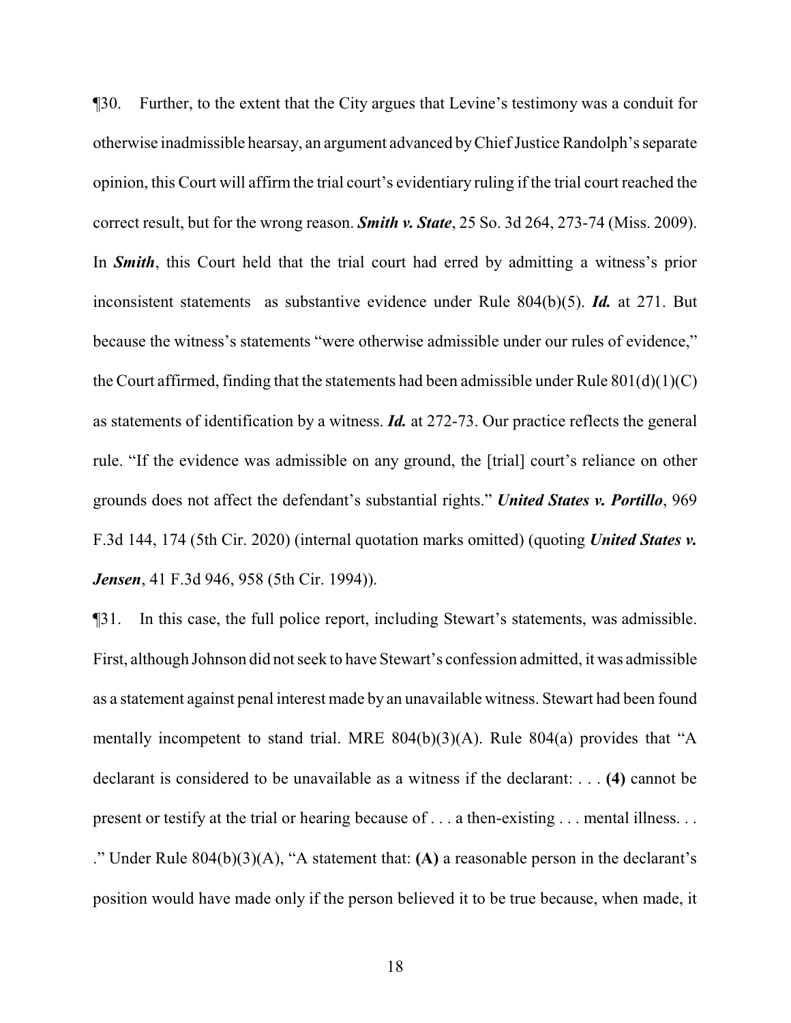¶30. Further, to the extent that the City argues that Levine's testimony was a conduit for otherwise inadmissible hearsay, an argument advanced by Chief Justice Randolph's separate opinion, this Court will affirm the trial court's evidentiary ruling if the trial court reached the correct result, but for the wrong reason. *Smith v. State*, 25 So. 3d 264, 273-74 (Miss. 2009). In *Smith*, this Court held that the trial court had erred by admitting a witness's prior inconsistent statements as substantive evidence under Rule 804(b)(5). *Id.* at 271. But because the witness's statements "were otherwise admissible under our rules of evidence," the Court affirmed, finding that the statements had been admissible under Rule 801(d)(1)(C) as statements of identification by a witness. *Id.* at 272-73. Our practice reflects the general rule. "If the evidence was admissible on any ground, the [trial] court's reliance on other grounds does not affect the defendant's substantial rights." *United States v. Portillo*, 969 F.3d 144, 174 (5th Cir. 2020) (internal quotation marks omitted) (quoting *United States v. Jensen*, 41 F.3d 946, 958 (5th Cir. 1994)).

¶31. In this case, the full police report, including Stewart's statements, was admissible. First, although Johnson did not seek to have Stewart's confession admitted, it was admissible as a statement against penal interest made by an unavailable witness. Stewart had been found mentally incompetent to stand trial. MRE 804(b)(3)(A). Rule 804(a) provides that "A declarant is considered to be unavailable as a witness if the declarant: . . . **(4)** cannot be present or testify at the trial or hearing because of . . . a then-existing . . . mental illness. . . ." Under Rule 804(b)(3)(A), "A statement that: **(A)** a reasonable person in the declarant's position would have made only if the person believed it to be true because, when made, it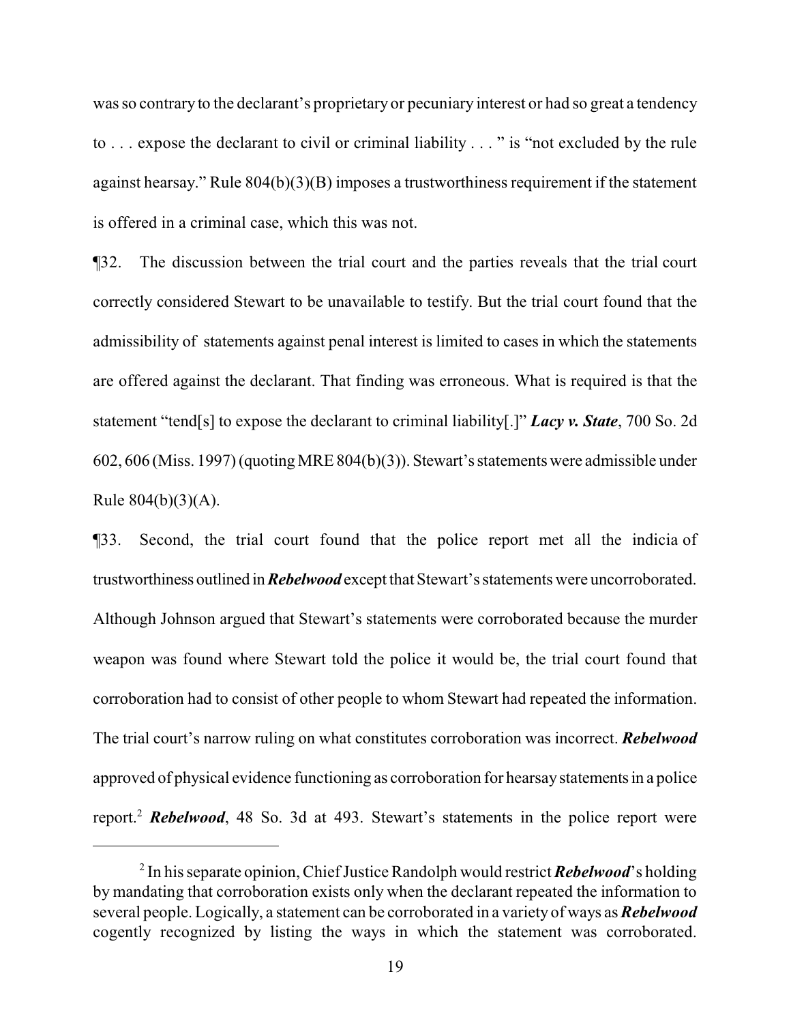was so contrary to the declarant's proprietary or pecuniary interest or had so great a tendency to . . . expose the declarant to civil or criminal liability . . . " is "not excluded by the rule against hearsay." Rule 804(b)(3)(B) imposes a trustworthiness requirement if the statement is offered in a criminal case, which this was not.

¶32. The discussion between the trial court and the parties reveals that the trial court correctly considered Stewart to be unavailable to testify. But the trial court found that the admissibility of statements against penal interest is limited to cases in which the statements are offered against the declarant. That finding was erroneous. What is required is that the statement "tend[s] to expose the declarant to criminal liability[.]" *Lacy v. State*, 700 So. 2d 602, 606 (Miss. 1997) (quoting MRE 804(b)(3)). Stewart'sstatements were admissible under Rule  $804(b)(3)(A)$ .

¶33. Second, the trial court found that the police report met all the indicia of trustworthiness outlined in*Rebelwood* except that Stewart's statements were uncorroborated. Although Johnson argued that Stewart's statements were corroborated because the murder weapon was found where Stewart told the police it would be, the trial court found that corroboration had to consist of other people to whom Stewart had repeated the information. The trial court's narrow ruling on what constitutes corroboration was incorrect. *Rebelwood* approved of physical evidence functioning as corroboration for hearsay statements in a police report.<sup>2</sup> *Rebelwood*, 48 So. 3d at 493. Stewart's statements in the police report were

<sup>&</sup>lt;sup>2</sup> In his separate opinion, Chief Justice Randolph would restrict *Rebelwood*'s holding by mandating that corroboration exists only when the declarant repeated the information to several people. Logically, a statement can be corroborated in a variety of ways as *Rebelwood* cogently recognized by listing the ways in which the statement was corroborated.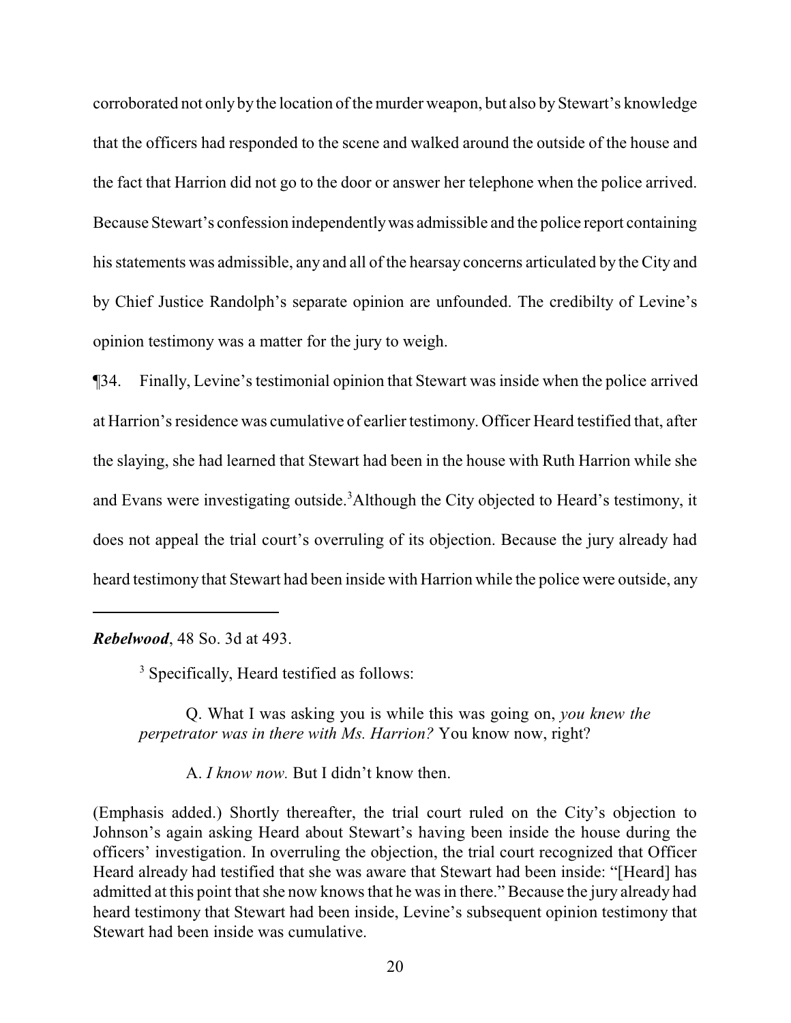corroborated not only by the location of the murder weapon, but also by Stewart's knowledge that the officers had responded to the scene and walked around the outside of the house and the fact that Harrion did not go to the door or answer her telephone when the police arrived. Because Stewart's confession independentlywas admissible and the police report containing his statements was admissible, any and all of the hearsay concerns articulated by the City and by Chief Justice Randolph's separate opinion are unfounded. The credibilty of Levine's opinion testimony was a matter for the jury to weigh.

¶34. Finally, Levine's testimonial opinion that Stewart was inside when the police arrived at Harrion's residence was cumulative of earlier testimony. Officer Heard testified that, after the slaying, she had learned that Stewart had been in the house with Ruth Harrion while she and Evans were investigating outside. <sup>3</sup>Although the City objected to Heard's testimony, it does not appeal the trial court's overruling of its objection. Because the jury already had heard testimony that Stewart had been inside with Harrion while the police were outside, any

*Rebelwood*, 48 So. 3d at 493.

<sup>3</sup> Specifically, Heard testified as follows:

Q. What I was asking you is while this was going on, *you knew the perpetrator was in there with Ms. Harrion?* You know now, right?

A. *I know now.* But I didn't know then.

(Emphasis added.) Shortly thereafter, the trial court ruled on the City's objection to Johnson's again asking Heard about Stewart's having been inside the house during the officers' investigation. In overruling the objection, the trial court recognized that Officer Heard already had testified that she was aware that Stewart had been inside: "[Heard] has admitted at this point that she now knows that he was in there." Because the jury already had heard testimony that Stewart had been inside, Levine's subsequent opinion testimony that Stewart had been inside was cumulative.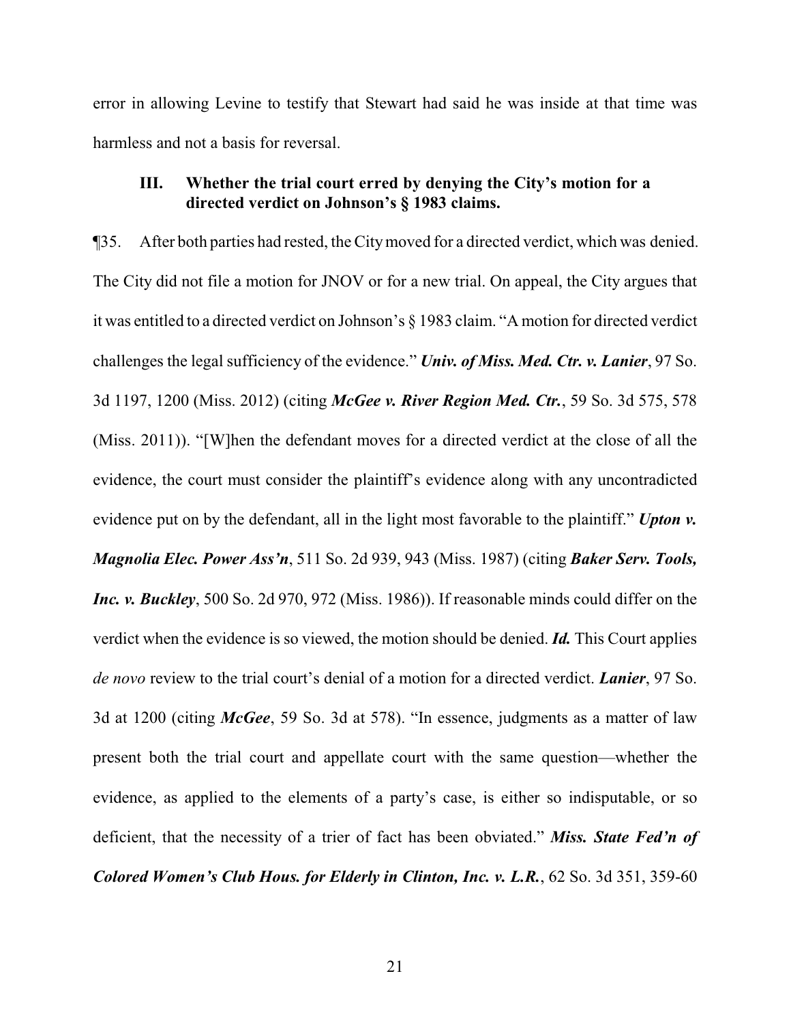error in allowing Levine to testify that Stewart had said he was inside at that time was harmless and not a basis for reversal.

# **III. Whether the trial court erred by denying the City's motion for a directed verdict on Johnson's § 1983 claims.**

¶35. After both parties had rested, the Citymoved for a directed verdict, which was denied. The City did not file a motion for JNOV or for a new trial. On appeal, the City argues that it was entitled to a directed verdict on Johnson's § 1983 claim. "A motion for directed verdict challenges the legal sufficiency of the evidence." *Univ. of Miss. Med. Ctr. v. Lanier*, 97 So. 3d 1197, 1200 (Miss. 2012) (citing *McGee v. River Region Med. Ctr.*, 59 So. 3d 575, 578 (Miss. 2011)). "[W]hen the defendant moves for a directed verdict at the close of all the evidence, the court must consider the plaintiff's evidence along with any uncontradicted evidence put on by the defendant, all in the light most favorable to the plaintiff." *Upton v. Magnolia Elec. Power Ass'n*, 511 So. 2d 939, 943 (Miss. 1987) (citing *Baker Serv. Tools, Inc. v. Buckley*, 500 So. 2d 970, 972 (Miss. 1986)). If reasonable minds could differ on the verdict when the evidence is so viewed, the motion should be denied. *Id.* This Court applies *de novo* review to the trial court's denial of a motion for a directed verdict. *Lanier*, 97 So. 3d at 1200 (citing *McGee*, 59 So. 3d at 578). "In essence, judgments as a matter of law present both the trial court and appellate court with the same question—whether the evidence, as applied to the elements of a party's case, is either so indisputable, or so deficient, that the necessity of a trier of fact has been obviated." *Miss. State Fed'n of Colored Women's Club Hous. for Elderly in Clinton, Inc. v. L.R.*, 62 So. 3d 351, 359-60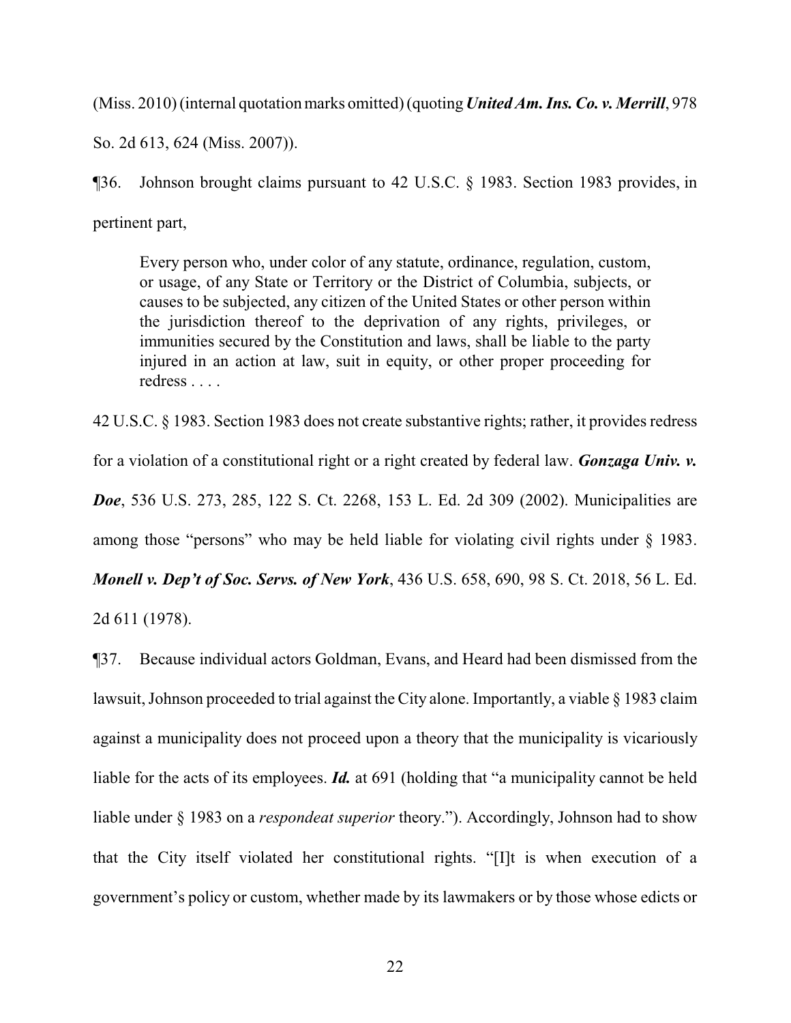(Miss. 2010) (internal quotation marks omitted) (quoting *United Am. Ins. Co. v. Merrill*, 978

So. 2d 613, 624 (Miss. 2007)).

¶36. Johnson brought claims pursuant to 42 U.S.C. § 1983. Section 1983 provides, in pertinent part,

Every person who, under color of any statute, ordinance, regulation, custom, or usage, of any State or Territory or the District of Columbia, subjects, or causes to be subjected, any citizen of the United States or other person within the jurisdiction thereof to the deprivation of any rights, privileges, or immunities secured by the Constitution and laws, shall be liable to the party injured in an action at law, suit in equity, or other proper proceeding for redress . . . .

42 U.S.C. § 1983. Section 1983 does not create substantive rights; rather, it provides redress for a violation of a constitutional right or a right created by federal law. *Gonzaga Univ. v. Doe*, 536 U.S. 273, 285, 122 S. Ct. 2268, 153 L. Ed. 2d 309 (2002). Municipalities are among those "persons" who may be held liable for violating civil rights under § 1983. *Monell v. Dep't of Soc. Servs. of New York*, 436 U.S. 658, 690, 98 S. Ct. 2018, 56 L. Ed.

2d 611 (1978).

¶37. Because individual actors Goldman, Evans, and Heard had been dismissed from the lawsuit, Johnson proceeded to trial against the City alone. Importantly, a viable § 1983 claim against a municipality does not proceed upon a theory that the municipality is vicariously liable for the acts of its employees. *Id.* at 691 (holding that "a municipality cannot be held liable under § 1983 on a *respondeat superior* theory."). Accordingly, Johnson had to show that the City itself violated her constitutional rights. "[I]t is when execution of a government's policy or custom, whether made by its lawmakers or by those whose edicts or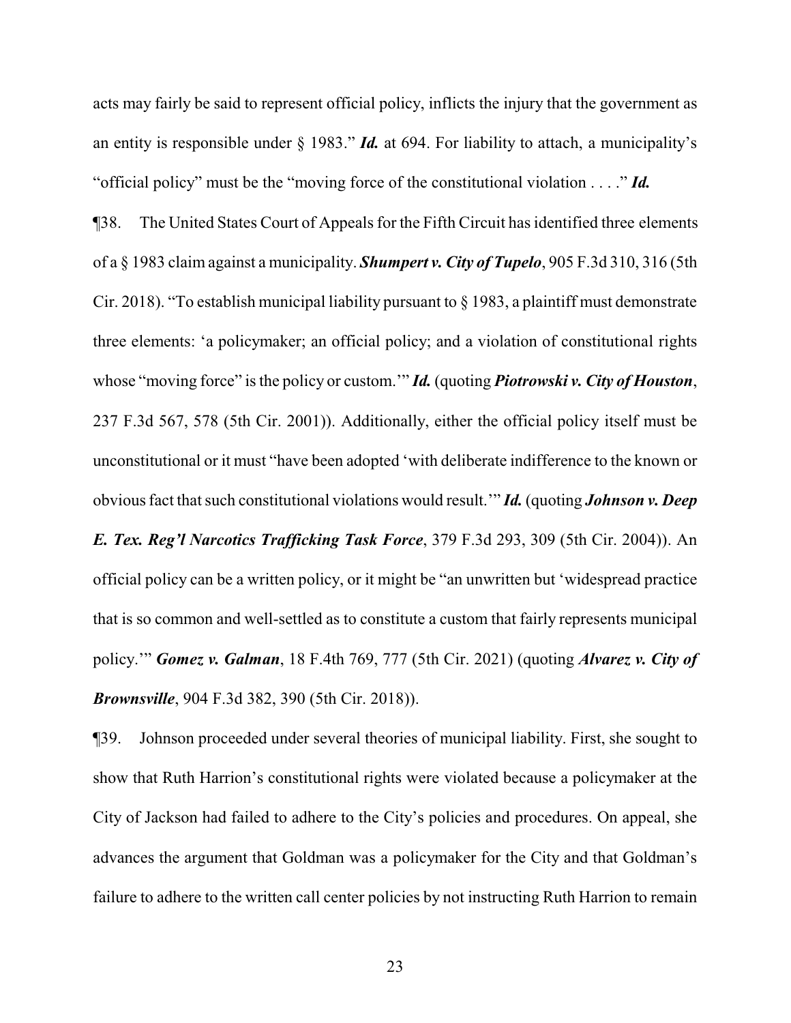acts may fairly be said to represent official policy, inflicts the injury that the government as an entity is responsible under § 1983." *Id.* at 694. For liability to attach, a municipality's "official policy" must be the "moving force of the constitutional violation . . . ." *Id.*

¶38. The United States Court of Appeals for the Fifth Circuit has identified three elements of a § 1983 claim against a municipality. *Shumpert v. City of Tupelo*, 905 F.3d 310, 316 (5th Cir. 2018). "To establish municipal liability pursuant to § 1983, a plaintiff must demonstrate three elements: 'a policymaker; an official policy; and a violation of constitutional rights whose "moving force" is the policy or custom.'" *Id.* (quoting *Piotrowski v. City of Houston*, 237 F.3d 567, 578 (5th Cir. 2001)). Additionally, either the official policy itself must be unconstitutional or it must "have been adopted 'with deliberate indifference to the known or obvious fact that such constitutional violations would result.'" *Id.* (quoting *Johnson v. Deep E. Tex. Reg'l Narcotics Trafficking Task Force*, 379 F.3d 293, 309 (5th Cir. 2004)). An official policy can be a written policy, or it might be "an unwritten but 'widespread practice

that is so common and well-settled as to constitute a custom that fairly represents municipal policy.'" *Gomez v. Galman*, 18 F.4th 769, 777 (5th Cir. 2021) (quoting *Alvarez v. City of Brownsville*, 904 F.3d 382, 390 (5th Cir. 2018)).

¶39. Johnson proceeded under several theories of municipal liability. First, she sought to show that Ruth Harrion's constitutional rights were violated because a policymaker at the City of Jackson had failed to adhere to the City's policies and procedures. On appeal, she advances the argument that Goldman was a policymaker for the City and that Goldman's failure to adhere to the written call center policies by not instructing Ruth Harrion to remain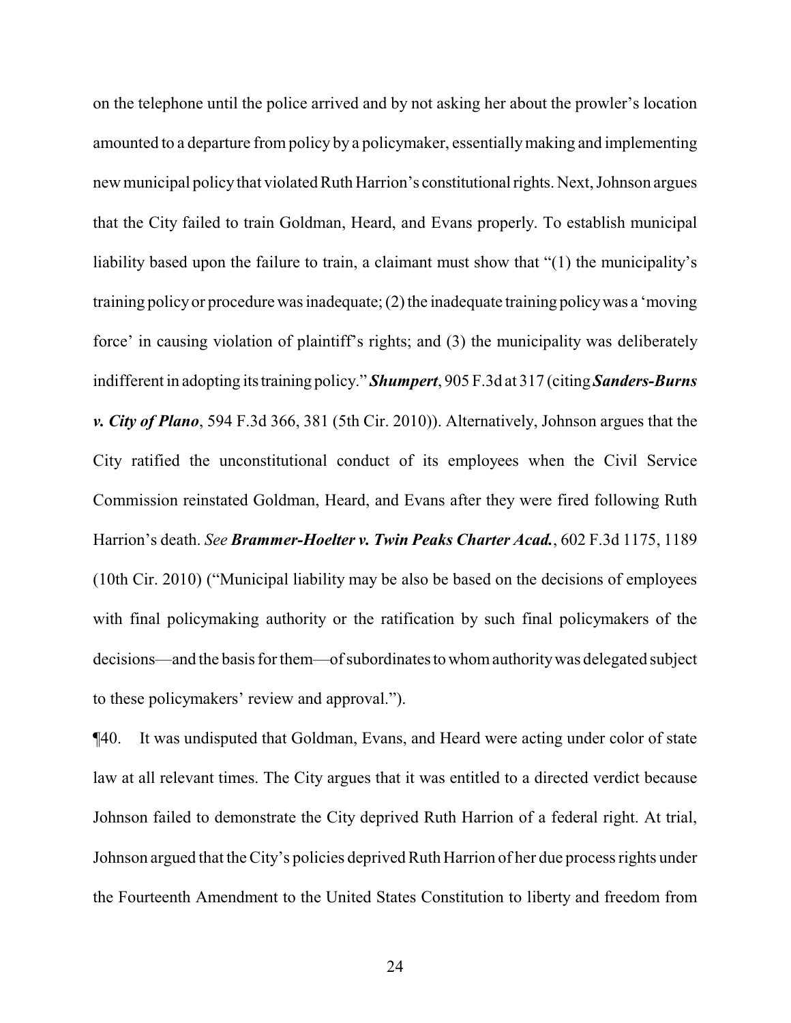on the telephone until the police arrived and by not asking her about the prowler's location amounted to a departure from policy by a policymaker, essentiallymaking and implementing new municipal policythat violated Ruth Harrion's constitutionalrights. Next, Johnson argues that the City failed to train Goldman, Heard, and Evans properly. To establish municipal liability based upon the failure to train, a claimant must show that "(1) the municipality's training policyor procedure was inadequate; (2) the inadequate training policywas a 'moving force' in causing violation of plaintiff's rights; and (3) the municipality was deliberately indifferent in adopting its training policy." **Shumpert**, 905 F.3d at 317 (citing *Sanders-Burns v. City of Plano*, 594 F.3d 366, 381 (5th Cir. 2010)). Alternatively, Johnson argues that the City ratified the unconstitutional conduct of its employees when the Civil Service Commission reinstated Goldman, Heard, and Evans after they were fired following Ruth Harrion's death. *See Brammer-Hoelter v. Twin Peaks Charter Acad.*, 602 F.3d 1175, 1189 (10th Cir. 2010) ("Municipal liability may be also be based on the decisions of employees with final policymaking authority or the ratification by such final policymakers of the decisions—and the basis for them—of subordinates to whom authority was delegated subject to these policymakers' review and approval.").

¶40. It was undisputed that Goldman, Evans, and Heard were acting under color of state law at all relevant times. The City argues that it was entitled to a directed verdict because Johnson failed to demonstrate the City deprived Ruth Harrion of a federal right. At trial, Johnson argued that the City's policies deprived Ruth Harrion of her due process rights under the Fourteenth Amendment to the United States Constitution to liberty and freedom from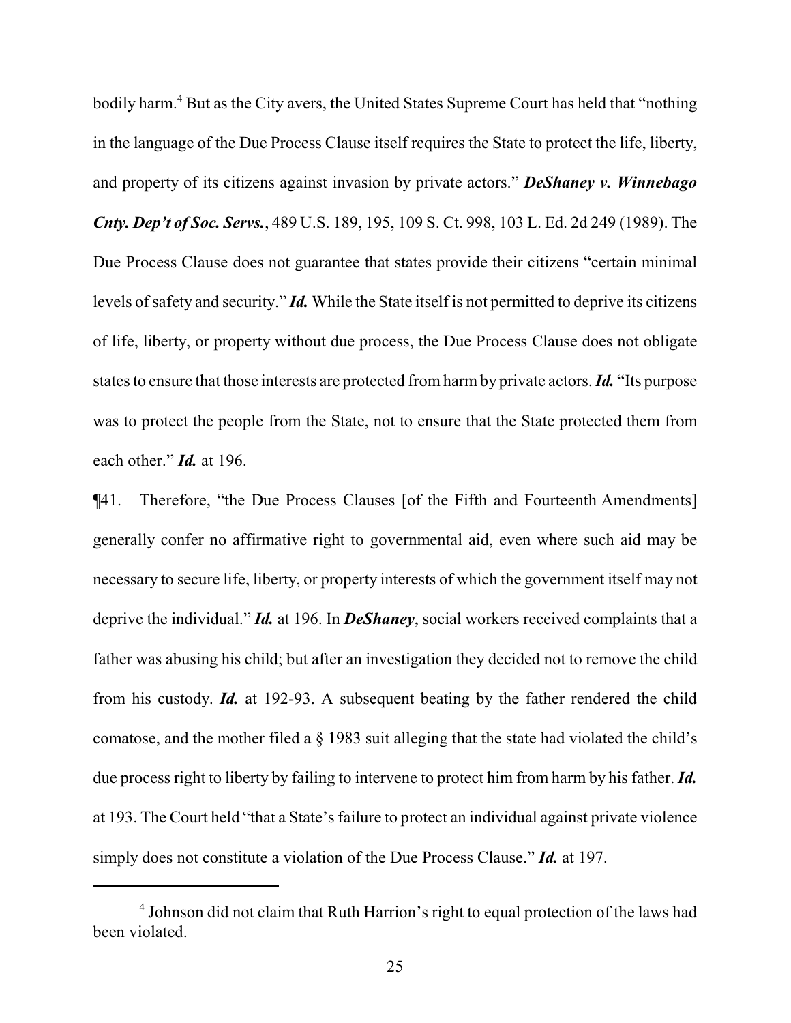bodily harm. <sup>4</sup> But as the City avers, the United States Supreme Court has held that "nothing in the language of the Due Process Clause itself requires the State to protect the life, liberty, and property of its citizens against invasion by private actors." *DeShaney v. Winnebago Cnty. Dep't of Soc. Servs.*, 489 U.S. 189, 195, 109 S. Ct. 998, 103 L. Ed. 2d 249 (1989). The Due Process Clause does not guarantee that states provide their citizens "certain minimal levels of safety and security." *Id.* While the State itself is not permitted to deprive its citizens of life, liberty, or property without due process, the Due Process Clause does not obligate states to ensure that those interests are protected fromharmby private actors. *Id.* "Its purpose was to protect the people from the State, not to ensure that the State protected them from each other." *Id.* at 196.

¶41. Therefore, "the Due Process Clauses [of the Fifth and Fourteenth Amendments] generally confer no affirmative right to governmental aid, even where such aid may be necessary to secure life, liberty, or property interests of which the government itself may not deprive the individual." *Id.* at 196. In *DeShaney*, social workers received complaints that a father was abusing his child; but after an investigation they decided not to remove the child from his custody. *Id.* at 192-93. A subsequent beating by the father rendered the child comatose, and the mother filed a § 1983 suit alleging that the state had violated the child's due process right to liberty by failing to intervene to protect him from harm by his father. *Id.* at 193. The Court held "that a State's failure to protect an individual against private violence simply does not constitute a violation of the Due Process Clause." *Id.* at 197.

<sup>&</sup>lt;sup>4</sup> Johnson did not claim that Ruth Harrion's right to equal protection of the laws had been violated.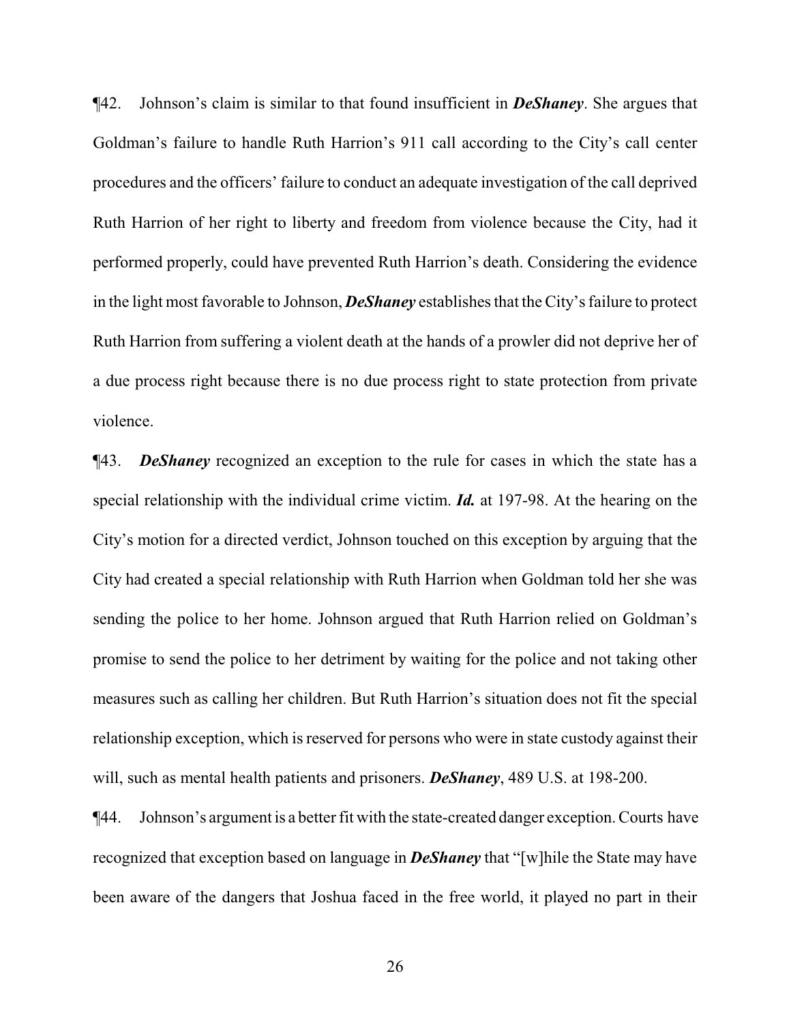¶42. Johnson's claim is similar to that found insufficient in *DeShaney*. She argues that Goldman's failure to handle Ruth Harrion's 911 call according to the City's call center procedures and the officers' failure to conduct an adequate investigation of the call deprived Ruth Harrion of her right to liberty and freedom from violence because the City, had it performed properly, could have prevented Ruth Harrion's death. Considering the evidence in the light most favorable to Johnson, *DeShaney* establishes that the City's failure to protect Ruth Harrion from suffering a violent death at the hands of a prowler did not deprive her of a due process right because there is no due process right to state protection from private violence.

¶43. *DeShaney* recognized an exception to the rule for cases in which the state has a special relationship with the individual crime victim. *Id.* at 197-98. At the hearing on the City's motion for a directed verdict, Johnson touched on this exception by arguing that the City had created a special relationship with Ruth Harrion when Goldman told her she was sending the police to her home. Johnson argued that Ruth Harrion relied on Goldman's promise to send the police to her detriment by waiting for the police and not taking other measures such as calling her children. But Ruth Harrion's situation does not fit the special relationship exception, which is reserved for persons who were in state custody against their will, such as mental health patients and prisoners. *DeShaney*, 489 U.S. at 198-200.

¶44. Johnson's argument is a better fit with the state-created danger exception. Courts have recognized that exception based on language in *DeShaney* that "[w]hile the State may have been aware of the dangers that Joshua faced in the free world, it played no part in their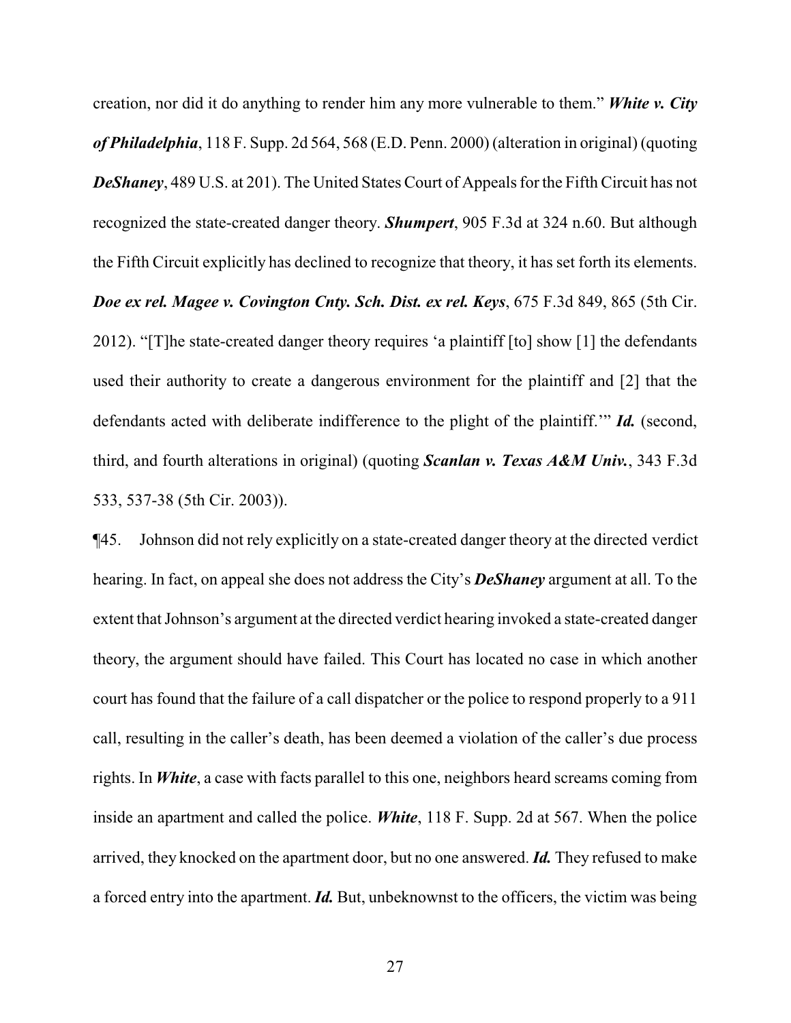creation, nor did it do anything to render him any more vulnerable to them." *White v. City of Philadelphia*, 118 F. Supp. 2d 564, 568 (E.D. Penn. 2000) (alteration in original) (quoting *DeShaney*, 489 U.S. at 201). The United States Court of Appeals for the Fifth Circuit has not recognized the state-created danger theory. *Shumpert*, 905 F.3d at 324 n.60. But although the Fifth Circuit explicitly has declined to recognize that theory, it has set forth its elements. *Doe ex rel. Magee v. Covington Cnty. Sch. Dist. ex rel. Keys*, 675 F.3d 849, 865 (5th Cir. 2012). "[T]he state-created danger theory requires 'a plaintiff [to] show [1] the defendants used their authority to create a dangerous environment for the plaintiff and [2] that the defendants acted with deliberate indifference to the plight of the plaintiff.'" *Id.* (second, third, and fourth alterations in original) (quoting *Scanlan v. Texas A&M Univ.*, 343 F.3d 533, 537-38 (5th Cir. 2003)).

¶45. Johnson did not rely explicitly on a state-created danger theory at the directed verdict hearing. In fact, on appeal she does not address the City's *DeShaney* argument at all. To the extent that Johnson's argument at the directed verdict hearing invoked a state-created danger theory, the argument should have failed. This Court has located no case in which another court has found that the failure of a call dispatcher or the police to respond properly to a 911 call, resulting in the caller's death, has been deemed a violation of the caller's due process rights. In *White*, a case with facts parallel to this one, neighbors heard screams coming from inside an apartment and called the police. *White*, 118 F. Supp. 2d at 567. When the police arrived, they knocked on the apartment door, but no one answered. *Id.* They refused to make a forced entry into the apartment. *Id.* But, unbeknownst to the officers, the victim was being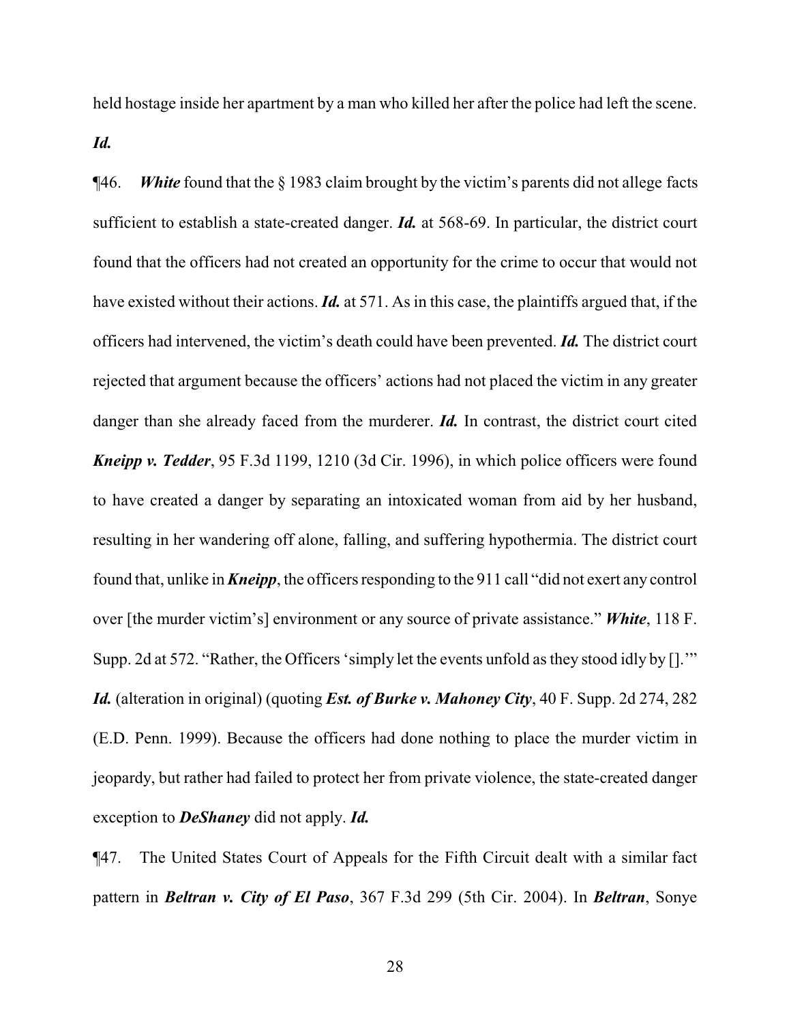held hostage inside her apartment by a man who killed her after the police had left the scene.

*Id.*

¶46. *White* found that the § 1983 claim brought by the victim's parents did not allege facts sufficient to establish a state-created danger. *Id.* at 568-69. In particular, the district court found that the officers had not created an opportunity for the crime to occur that would not have existed without their actions. *Id.* at 571. As in this case, the plaintiffs argued that, if the officers had intervened, the victim's death could have been prevented. *Id.* The district court rejected that argument because the officers' actions had not placed the victim in any greater danger than she already faced from the murderer. *Id*. In contrast, the district court cited *Kneipp v. Tedder*, 95 F.3d 1199, 1210 (3d Cir. 1996), in which police officers were found to have created a danger by separating an intoxicated woman from aid by her husband, resulting in her wandering off alone, falling, and suffering hypothermia. The district court found that, unlike in *Kneipp*, the officers responding to the 911 call "did not exert any control over [the murder victim's] environment or any source of private assistance." *White*, 118 F. Supp. 2d at 572. "Rather, the Officers 'simply let the events unfold as they stood idly by [].'" *Id.* (alteration in original) (quoting *Est. of Burke v. Mahoney City*, 40 F. Supp. 2d 274, 282 (E.D. Penn. 1999). Because the officers had done nothing to place the murder victim in jeopardy, but rather had failed to protect her from private violence, the state-created danger exception to *DeShaney* did not apply. *Id.*

¶47. The United States Court of Appeals for the Fifth Circuit dealt with a similar fact pattern in *Beltran v. City of El Paso*, 367 F.3d 299 (5th Cir. 2004). In *Beltran*, Sonye

28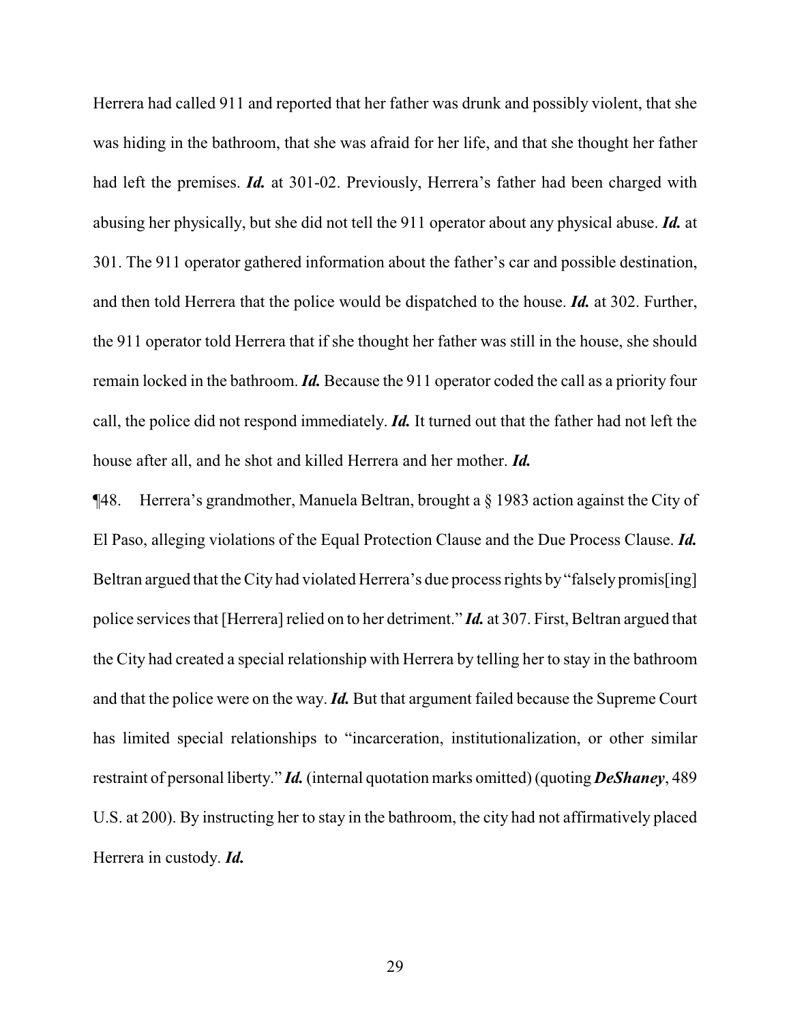Herrera had called 911 and reported that her father was drunk and possibly violent, that she was hiding in the bathroom, that she was afraid for her life, and that she thought her father had left the premises. *Id.* at 301-02. Previously, Herrera's father had been charged with abusing her physically, but she did not tell the 911 operator about any physical abuse. *Id.* at 301. The 911 operator gathered information about the father's car and possible destination, and then told Herrera that the police would be dispatched to the house. *Id.* at 302. Further, the 911 operator told Herrera that if she thought her father was still in the house, she should remain locked in the bathroom. *Id.* Because the 911 operator coded the call as a priority four call, the police did not respond immediately. *Id.* It turned out that the father had not left the house after all, and he shot and killed Herrera and her mother. *Id.*

¶48. Herrera's grandmother, Manuela Beltran, brought a § 1983 action against the City of El Paso, alleging violations of the Equal Protection Clause and the Due Process Clause. *Id.* Beltran argued that the City had violated Herrera's due process rights by "falsely promis[ing] police services that [Herrera] relied on to her detriment." *Id.* at 307. First, Beltran argued that the City had created a special relationship with Herrera by telling her to stay in the bathroom and that the police were on the way. *Id.* But that argument failed because the Supreme Court has limited special relationships to "incarceration, institutionalization, or other similar restraint of personal liberty." *Id.* (internal quotation marks omitted) (quoting *DeShaney*, 489 U.S. at 200). By instructing her to stay in the bathroom, the city had not affirmatively placed Herrera in custody. *Id.*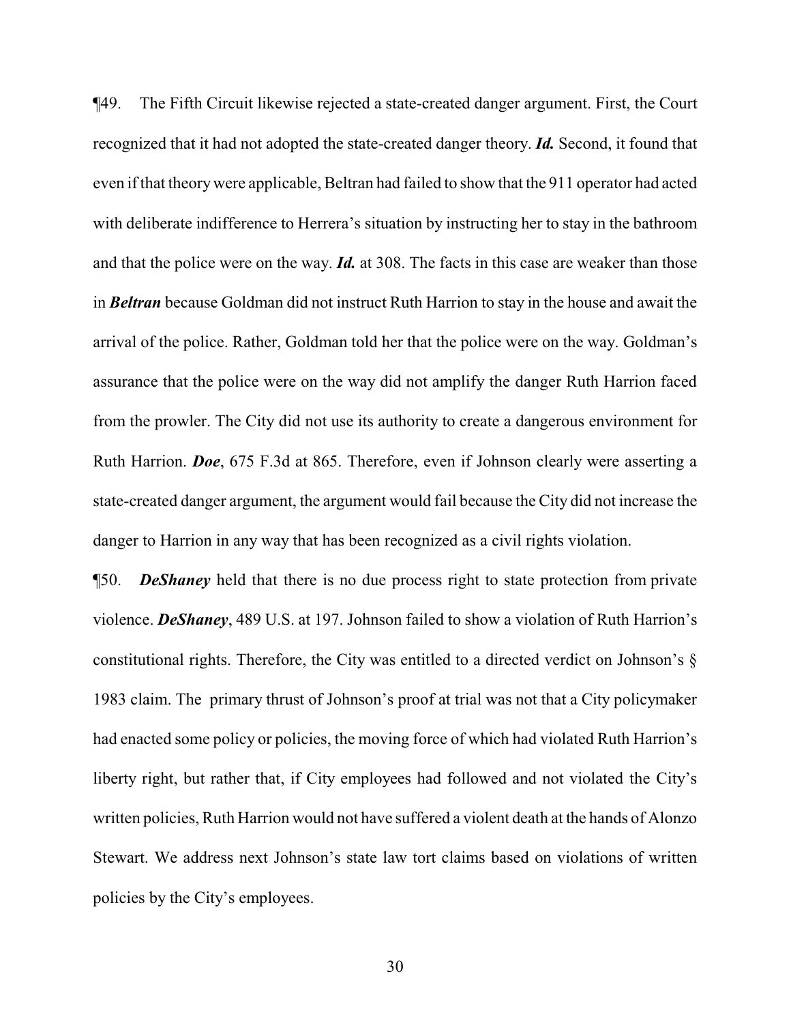¶49. The Fifth Circuit likewise rejected a state-created danger argument. First, the Court recognized that it had not adopted the state-created danger theory. *Id.* Second, it found that even if that theorywere applicable, Beltran had failed to show that the 911 operator had acted with deliberate indifference to Herrera's situation by instructing her to stay in the bathroom and that the police were on the way. *Id.* at 308. The facts in this case are weaker than those in *Beltran* because Goldman did not instruct Ruth Harrion to stay in the house and await the arrival of the police. Rather, Goldman told her that the police were on the way. Goldman's assurance that the police were on the way did not amplify the danger Ruth Harrion faced from the prowler. The City did not use its authority to create a dangerous environment for Ruth Harrion. *Doe*, 675 F.3d at 865. Therefore, even if Johnson clearly were asserting a state-created danger argument, the argument would fail because the City did not increase the danger to Harrion in any way that has been recognized as a civil rights violation.

¶50. *DeShaney* held that there is no due process right to state protection from private violence. *DeShaney*, 489 U.S. at 197. Johnson failed to show a violation of Ruth Harrion's constitutional rights. Therefore, the City was entitled to a directed verdict on Johnson's § 1983 claim. The primary thrust of Johnson's proof at trial was not that a City policymaker had enacted some policy or policies, the moving force of which had violated Ruth Harrion's liberty right, but rather that, if City employees had followed and not violated the City's written policies, Ruth Harrion would not have suffered a violent death at the hands of Alonzo Stewart. We address next Johnson's state law tort claims based on violations of written policies by the City's employees.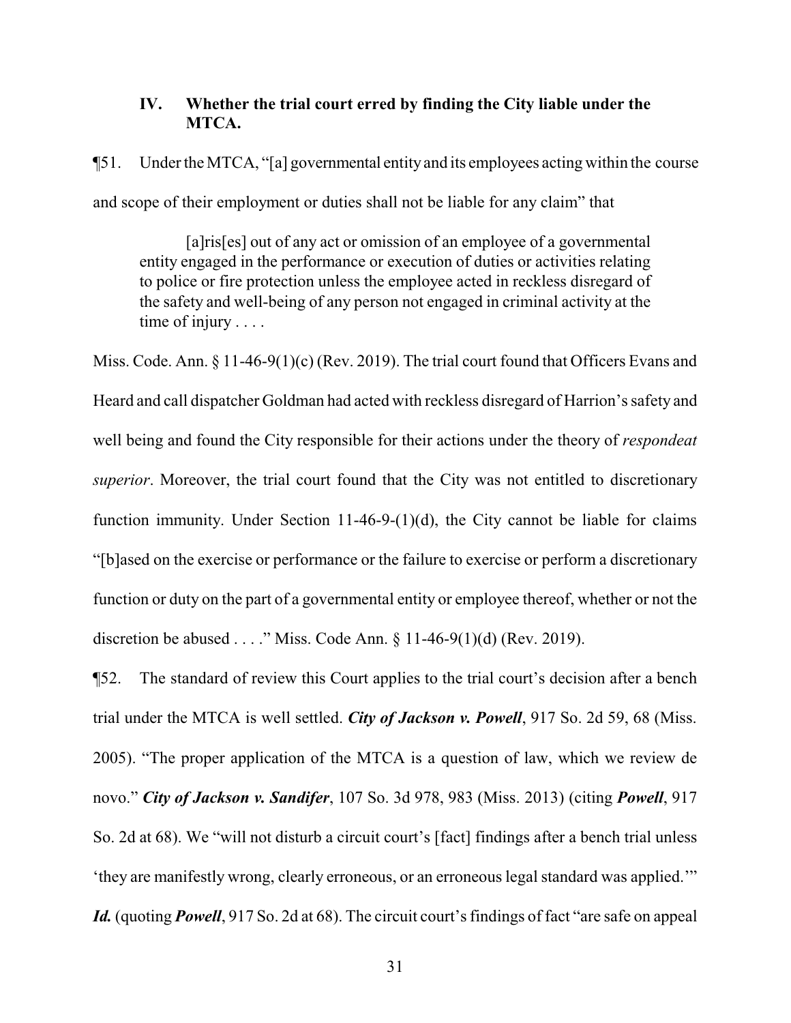# **IV. Whether the trial court erred by finding the City liable under the MTCA.**

¶51. Under the MTCA, "[a] governmental entityand its employees acting within the course and scope of their employment or duties shall not be liable for any claim" that

[a]ris[es] out of any act or omission of an employee of a governmental entity engaged in the performance or execution of duties or activities relating to police or fire protection unless the employee acted in reckless disregard of the safety and well-being of any person not engaged in criminal activity at the time of injury . . . .

Miss. Code. Ann. § 11-46-9(1)(c) (Rev. 2019). The trial court found that Officers Evans and Heard and call dispatcher Goldman had acted with reckless disregard of Harrion's safety and well being and found the City responsible for their actions under the theory of *respondeat superior*. Moreover, the trial court found that the City was not entitled to discretionary function immunity. Under Section 11-46-9- $(1)(d)$ , the City cannot be liable for claims "[b]ased on the exercise or performance or the failure to exercise or perform a discretionary function or duty on the part of a governmental entity or employee thereof, whether or not the discretion be abused . . . ." Miss. Code Ann.  $\S 11-46-9(1)(d)$  (Rev. 2019).

¶52. The standard of review this Court applies to the trial court's decision after a bench trial under the MTCA is well settled. *City of Jackson v. Powell*, 917 So. 2d 59, 68 (Miss. 2005). "The proper application of the MTCA is a question of law, which we review de novo." *City of Jackson v. Sandifer*, 107 So. 3d 978, 983 (Miss. 2013) (citing *Powell*, 917 So. 2d at 68). We "will not disturb a circuit court's [fact] findings after a bench trial unless 'they are manifestly wrong, clearly erroneous, or an erroneous legal standard was applied.'" *Id.* (quoting *Powell*, 917 So. 2d at 68). The circuit court's findings of fact "are safe on appeal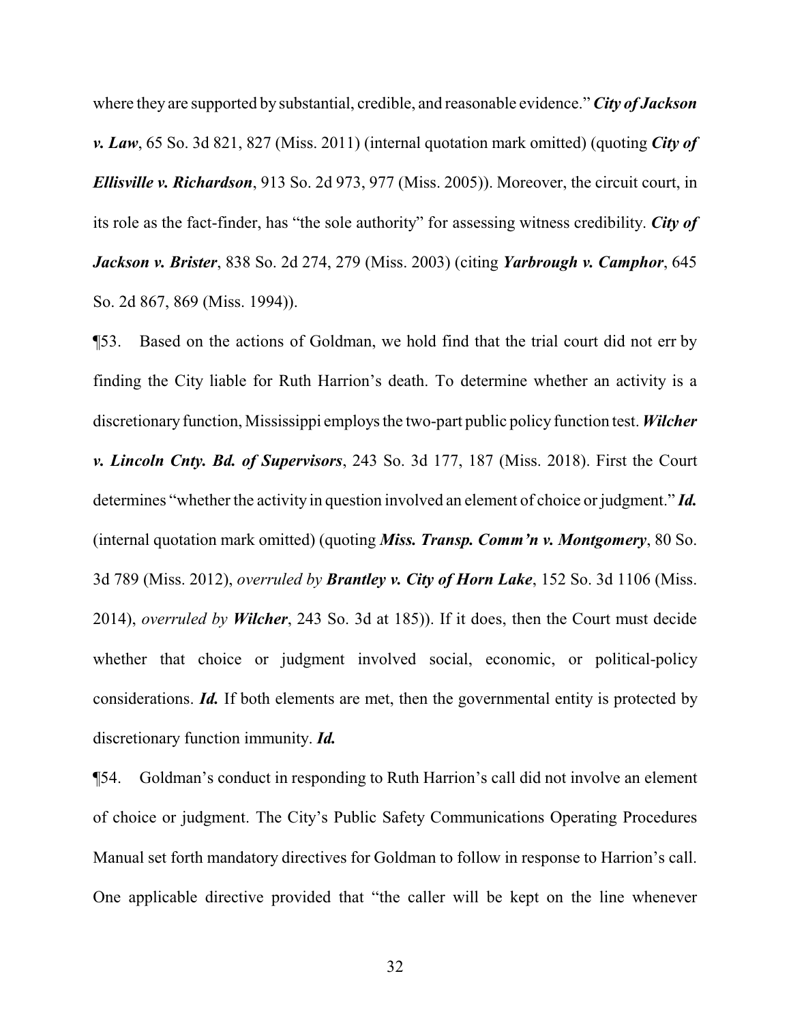where they are supported by substantial, credible, and reasonable evidence." *City of Jackson v. Law*, 65 So. 3d 821, 827 (Miss. 2011) (internal quotation mark omitted) (quoting *City of Ellisville v. Richardson*, 913 So. 2d 973, 977 (Miss. 2005)). Moreover, the circuit court, in its role as the fact-finder, has "the sole authority" for assessing witness credibility. *City of Jackson v. Brister*, 838 So. 2d 274, 279 (Miss. 2003) (citing *Yarbrough v. Camphor*, 645 So. 2d 867, 869 (Miss. 1994)).

¶53. Based on the actions of Goldman, we hold find that the trial court did not err by finding the City liable for Ruth Harrion's death. To determine whether an activity is a discretionary function, Mississippi employs the two-part public policy function test. *Wilcher v. Lincoln Cnty. Bd. of Supervisors*, 243 So. 3d 177, 187 (Miss. 2018). First the Court determines "whether the activity in question involved an element of choice or judgment." *Id.* (internal quotation mark omitted) (quoting *Miss. Transp. Comm'n v. Montgomery*, 80 So. 3d 789 (Miss. 2012), *overruled by Brantley v. City of Horn Lake*, 152 So. 3d 1106 (Miss. 2014), *overruled by Wilcher*, 243 So. 3d at 185)). If it does, then the Court must decide whether that choice or judgment involved social, economic, or political-policy considerations. *Id.* If both elements are met, then the governmental entity is protected by discretionary function immunity. *Id.*

¶54. Goldman's conduct in responding to Ruth Harrion's call did not involve an element of choice or judgment. The City's Public Safety Communications Operating Procedures Manual set forth mandatory directives for Goldman to follow in response to Harrion's call. One applicable directive provided that "the caller will be kept on the line whenever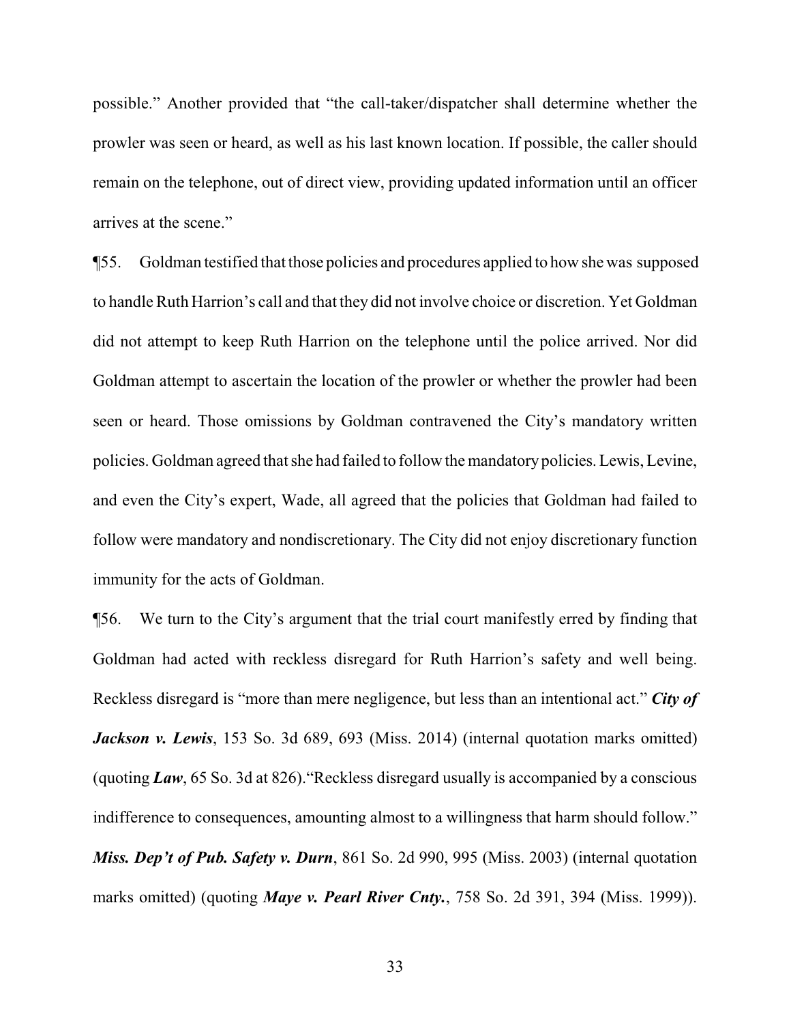possible." Another provided that "the call-taker/dispatcher shall determine whether the prowler was seen or heard, as well as his last known location. If possible, the caller should remain on the telephone, out of direct view, providing updated information until an officer arrives at the scene."

¶55. Goldman testified that those policies and procedures applied to how she was supposed to handle Ruth Harrion's call and that they did not involve choice or discretion. Yet Goldman did not attempt to keep Ruth Harrion on the telephone until the police arrived. Nor did Goldman attempt to ascertain the location of the prowler or whether the prowler had been seen or heard. Those omissions by Goldman contravened the City's mandatory written policies. Goldman agreed that she had failed to follow the mandatorypolicies.Lewis, Levine, and even the City's expert, Wade, all agreed that the policies that Goldman had failed to follow were mandatory and nondiscretionary. The City did not enjoy discretionary function immunity for the acts of Goldman.

¶56. We turn to the City's argument that the trial court manifestly erred by finding that Goldman had acted with reckless disregard for Ruth Harrion's safety and well being. Reckless disregard is "more than mere negligence, but less than an intentional act." *City of Jackson v. Lewis*, 153 So. 3d 689, 693 (Miss. 2014) (internal quotation marks omitted) (quoting *Law*, 65 So. 3d at 826)."Reckless disregard usually is accompanied by a conscious indifference to consequences, amounting almost to a willingness that harm should follow." *Miss. Dep't of Pub. Safety v. Durn*, 861 So. 2d 990, 995 (Miss. 2003) (internal quotation marks omitted) (quoting *Maye v. Pearl River Cnty.*, 758 So. 2d 391, 394 (Miss. 1999)).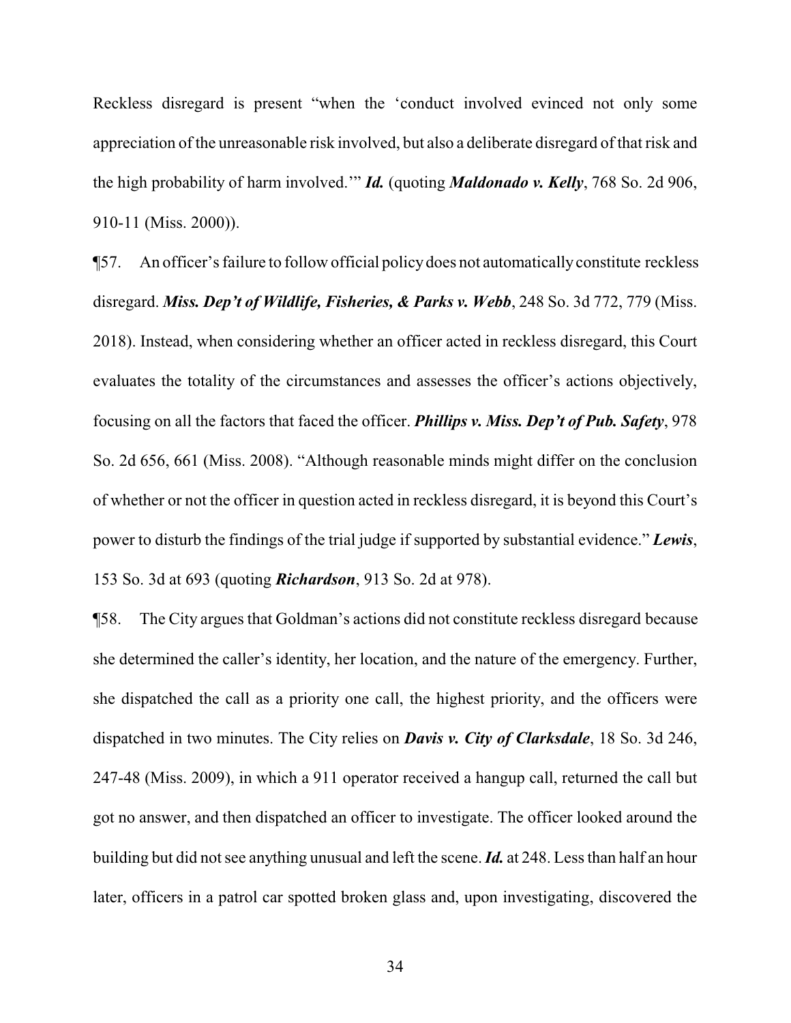Reckless disregard is present "when the 'conduct involved evinced not only some appreciation of the unreasonable risk involved, but also a deliberate disregard of that risk and the high probability of harm involved.'" *Id.* (quoting *Maldonado v. Kelly*, 768 So. 2d 906, 910-11 (Miss. 2000)).

¶57. An officer's failure to follow official policydoes not automaticallyconstitute reckless disregard. *Miss. Dep't of Wildlife, Fisheries, & Parks v. Webb*, 248 So. 3d 772, 779 (Miss. 2018). Instead, when considering whether an officer acted in reckless disregard, this Court evaluates the totality of the circumstances and assesses the officer's actions objectively, focusing on all the factors that faced the officer. *Phillips v. Miss. Dep't of Pub. Safety*, 978 So. 2d 656, 661 (Miss. 2008). "Although reasonable minds might differ on the conclusion of whether or not the officer in question acted in reckless disregard, it is beyond this Court's power to disturb the findings of the trial judge if supported by substantial evidence." *Lewis*, 153 So. 3d at 693 (quoting *Richardson*, 913 So. 2d at 978).

¶58. The City argues that Goldman's actions did not constitute reckless disregard because she determined the caller's identity, her location, and the nature of the emergency. Further, she dispatched the call as a priority one call, the highest priority, and the officers were dispatched in two minutes. The City relies on *Davis v. City of Clarksdale*, 18 So. 3d 246, 247-48 (Miss. 2009), in which a 911 operator received a hangup call, returned the call but got no answer, and then dispatched an officer to investigate. The officer looked around the building but did not see anything unusual and left the scene. *Id.* at 248. Less than half an hour later, officers in a patrol car spotted broken glass and, upon investigating, discovered the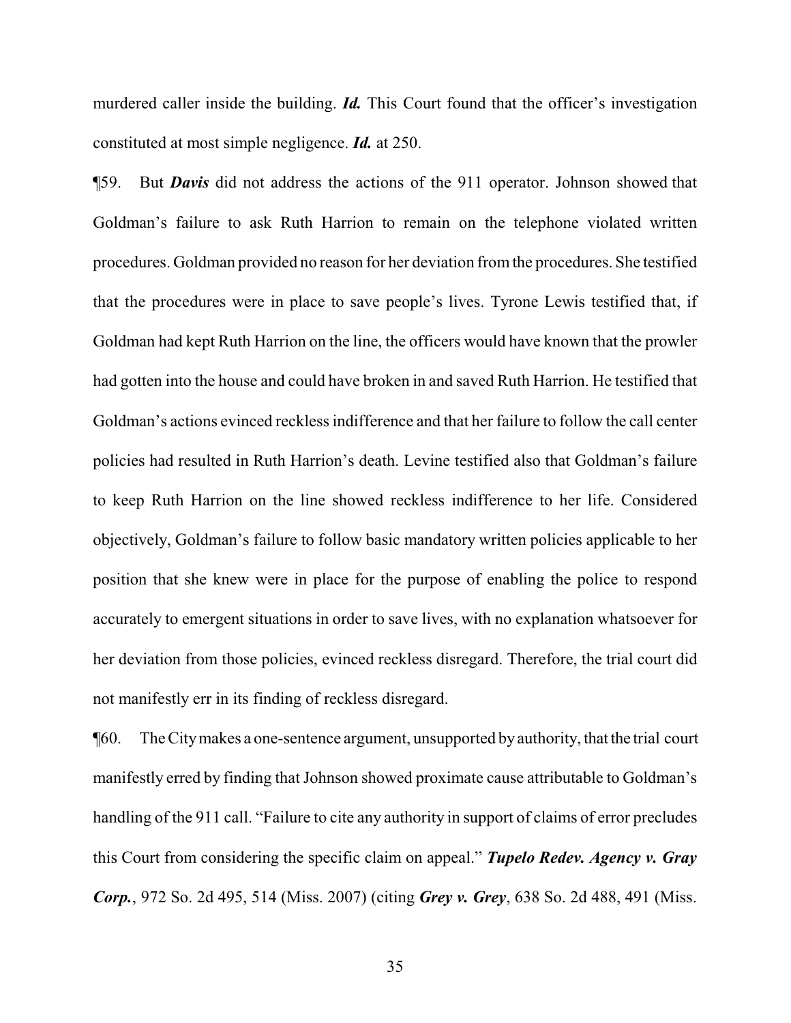murdered caller inside the building. *Id.* This Court found that the officer's investigation constituted at most simple negligence. *Id.* at 250.

¶59. But *Davis* did not address the actions of the 911 operator. Johnson showed that Goldman's failure to ask Ruth Harrion to remain on the telephone violated written procedures. Goldman provided no reason for her deviation fromthe procedures. She testified that the procedures were in place to save people's lives. Tyrone Lewis testified that, if Goldman had kept Ruth Harrion on the line, the officers would have known that the prowler had gotten into the house and could have broken in and saved Ruth Harrion. He testified that Goldman's actions evinced reckless indifference and that her failure to follow the call center policies had resulted in Ruth Harrion's death. Levine testified also that Goldman's failure to keep Ruth Harrion on the line showed reckless indifference to her life. Considered objectively, Goldman's failure to follow basic mandatory written policies applicable to her position that she knew were in place for the purpose of enabling the police to respond accurately to emergent situations in order to save lives, with no explanation whatsoever for her deviation from those policies, evinced reckless disregard. Therefore, the trial court did not manifestly err in its finding of reckless disregard.

¶60. The Citymakes a one-sentence argument, unsupported byauthority, thatthe trial court manifestly erred by finding that Johnson showed proximate cause attributable to Goldman's handling of the 911 call. "Failure to cite any authority in support of claims of error precludes this Court from considering the specific claim on appeal." *Tupelo Redev. Agency v. Gray Corp.*, 972 So. 2d 495, 514 (Miss. 2007) (citing *Grey v. Grey*, 638 So. 2d 488, 491 (Miss.

35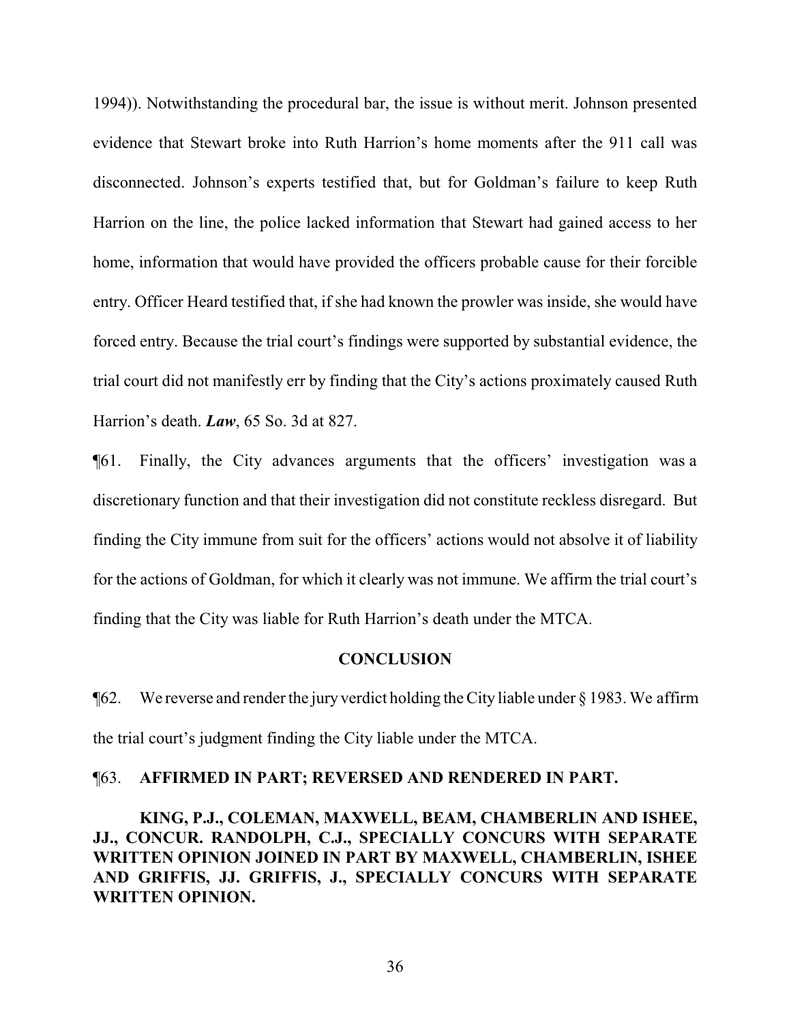1994)). Notwithstanding the procedural bar, the issue is without merit. Johnson presented evidence that Stewart broke into Ruth Harrion's home moments after the 911 call was disconnected. Johnson's experts testified that, but for Goldman's failure to keep Ruth Harrion on the line, the police lacked information that Stewart had gained access to her home, information that would have provided the officers probable cause for their forcible entry. Officer Heard testified that, if she had known the prowler was inside, she would have forced entry. Because the trial court's findings were supported by substantial evidence, the trial court did not manifestly err by finding that the City's actions proximately caused Ruth Harrion's death. *Law*, 65 So. 3d at 827.

¶61. Finally, the City advances arguments that the officers' investigation was a discretionary function and that their investigation did not constitute reckless disregard. But finding the City immune from suit for the officers' actions would not absolve it of liability for the actions of Goldman, for which it clearly was not immune. We affirm the trial court's finding that the City was liable for Ruth Harrion's death under the MTCA.

#### **CONCLUSION**

¶62. We reverse and render the jury verdict holding the City liable under § 1983. We affirm the trial court's judgment finding the City liable under the MTCA.

### ¶63. **AFFIRMED IN PART; REVERSED AND RENDERED IN PART.**

**KING, P.J., COLEMAN, MAXWELL, BEAM, CHAMBERLIN AND ISHEE, JJ., CONCUR. RANDOLPH, C.J., SPECIALLY CONCURS WITH SEPARATE WRITTEN OPINION JOINED IN PART BY MAXWELL, CHAMBERLIN, ISHEE AND GRIFFIS, JJ. GRIFFIS, J., SPECIALLY CONCURS WITH SEPARATE WRITTEN OPINION.**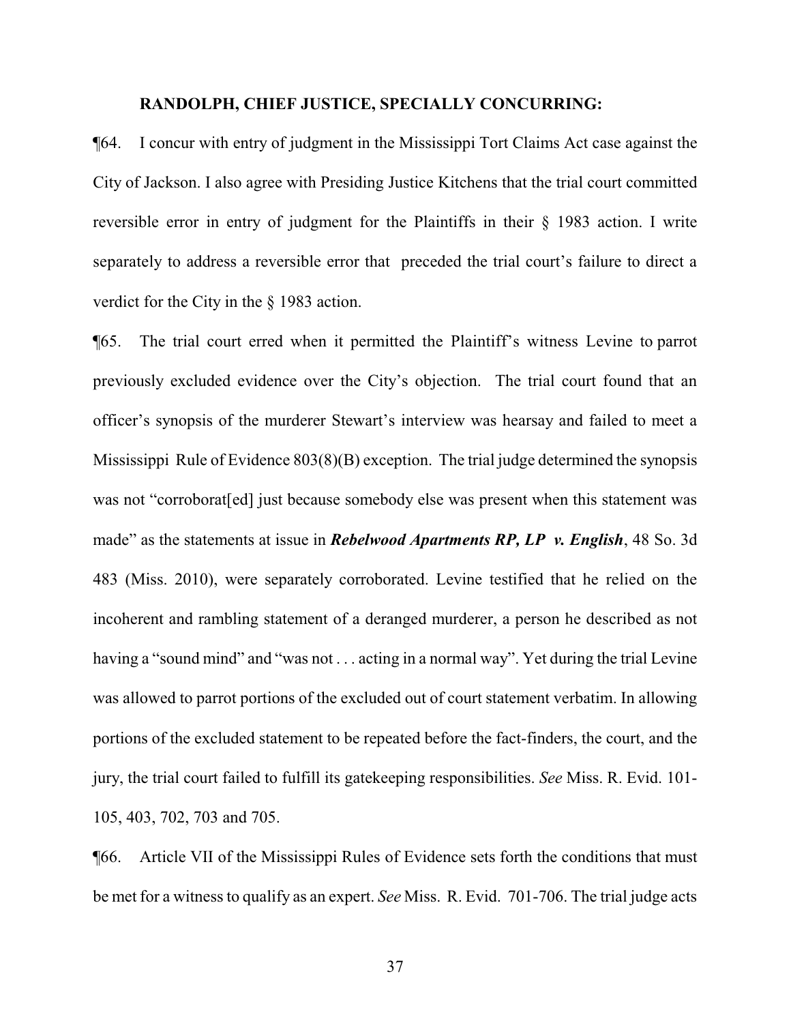#### **RANDOLPH, CHIEF JUSTICE, SPECIALLY CONCURRING:**

¶64. I concur with entry of judgment in the Mississippi Tort Claims Act case against the City of Jackson. I also agree with Presiding Justice Kitchens that the trial court committed reversible error in entry of judgment for the Plaintiffs in their § 1983 action. I write separately to address a reversible error that preceded the trial court's failure to direct a verdict for the City in the § 1983 action.

¶65. The trial court erred when it permitted the Plaintiff's witness Levine to parrot previously excluded evidence over the City's objection. The trial court found that an officer's synopsis of the murderer Stewart's interview was hearsay and failed to meet a Mississippi Rule of Evidence 803(8)(B) exception. The trial judge determined the synopsis was not "corroborat[ed] just because somebody else was present when this statement was made" as the statements at issue in *Rebelwood Apartments RP, LP v. English*, 48 So. 3d 483 (Miss. 2010), were separately corroborated. Levine testified that he relied on the incoherent and rambling statement of a deranged murderer, a person he described as not having a "sound mind" and "was not . . . acting in a normal way". Yet during the trial Levine was allowed to parrot portions of the excluded out of court statement verbatim. In allowing portions of the excluded statement to be repeated before the fact-finders, the court, and the jury, the trial court failed to fulfill its gatekeeping responsibilities. *See* Miss. R. Evid. 101- 105, 403, 702, 703 and 705.

¶66. Article VII of the Mississippi Rules of Evidence sets forth the conditions that must be met for a witness to qualify as an expert. *See* Miss. R. Evid. 701-706. The trial judge acts

37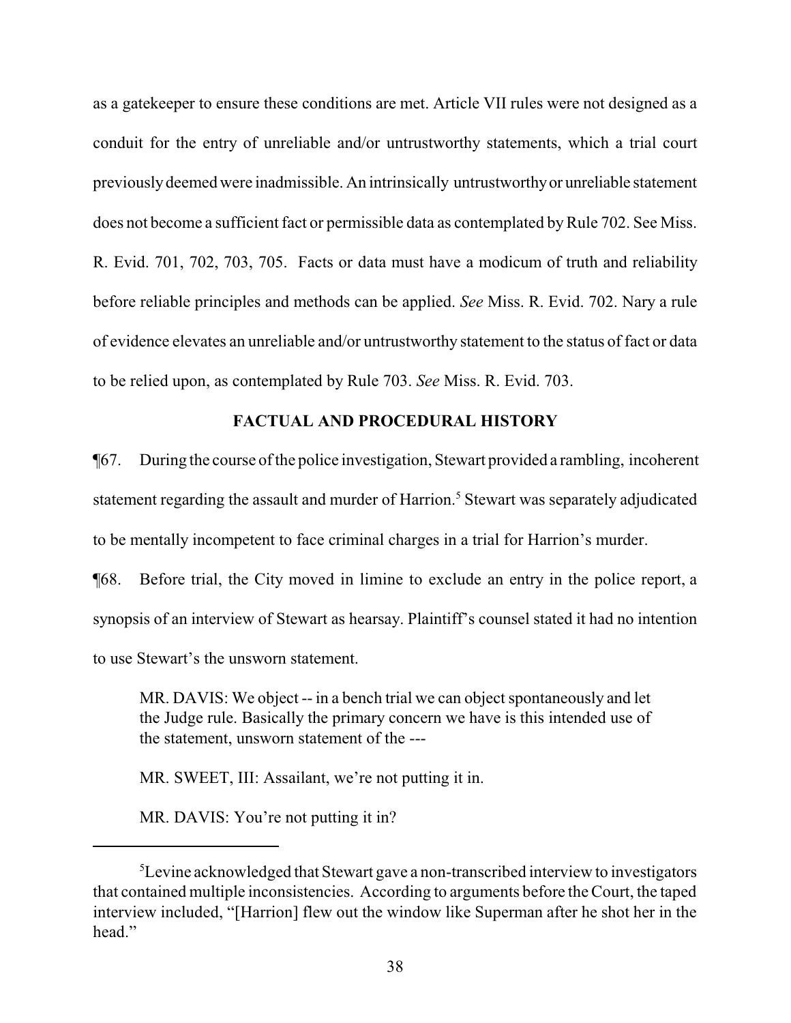as a gatekeeper to ensure these conditions are met. Article VII rules were not designed as a conduit for the entry of unreliable and/or untrustworthy statements, which a trial court previouslydeemed were inadmissible. An intrinsically untrustworthyor unreliable statement does not become a sufficient fact or permissible data as contemplated by Rule 702. See Miss. R. Evid. 701, 702, 703, 705. Facts or data must have a modicum of truth and reliability before reliable principles and methods can be applied. *See* Miss. R. Evid. 702. Nary a rule of evidence elevates an unreliable and/or untrustworthy statement to the status of fact or data to be relied upon, as contemplated by Rule 703. *See* Miss. R. Evid. 703.

# **FACTUAL AND PROCEDURAL HISTORY**

¶67. During the course ofthe police investigation, Stewart provided a rambling, incoherent statement regarding the assault and murder of Harrion.<sup>5</sup> Stewart was separately adjudicated to be mentally incompetent to face criminal charges in a trial for Harrion's murder.

¶68. Before trial, the City moved in limine to exclude an entry in the police report, a synopsis of an interview of Stewart as hearsay. Plaintiff's counsel stated it had no intention to use Stewart's the unsworn statement.

MR. DAVIS: We object -- in a bench trial we can object spontaneously and let the Judge rule. Basically the primary concern we have is this intended use of the statement, unsworn statement of the ---

MR. SWEET, III: Assailant, we're not putting it in.

MR. DAVIS: You're not putting it in?

<sup>&</sup>lt;sup>5</sup>Levine acknowledged that Stewart gave a non-transcribed interview to investigators that contained multiple inconsistencies. According to arguments before the Court, the taped interview included, "[Harrion] flew out the window like Superman after he shot her in the head."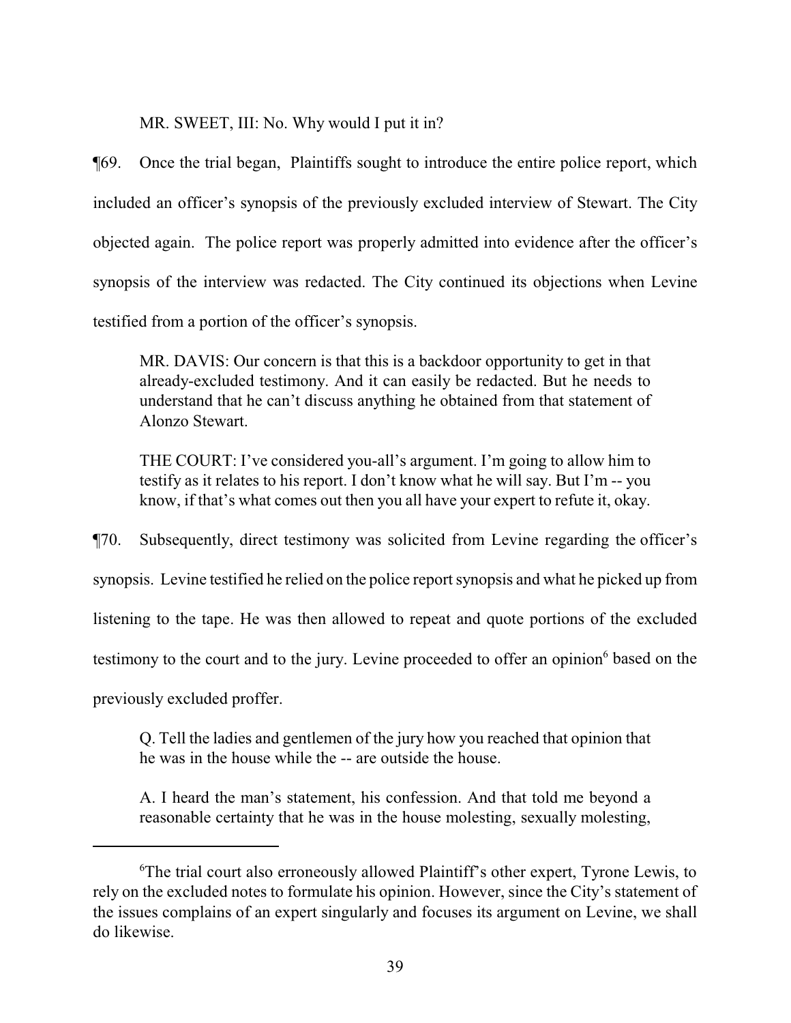MR. SWEET, III: No. Why would I put it in?

¶69. Once the trial began, Plaintiffs sought to introduce the entire police report, which included an officer's synopsis of the previously excluded interview of Stewart. The City objected again. The police report was properly admitted into evidence after the officer's synopsis of the interview was redacted. The City continued its objections when Levine testified from a portion of the officer's synopsis.

MR. DAVIS: Our concern is that this is a backdoor opportunity to get in that already-excluded testimony. And it can easily be redacted. But he needs to understand that he can't discuss anything he obtained from that statement of Alonzo Stewart.

THE COURT: I've considered you-all's argument. I'm going to allow him to testify as it relates to his report. I don't know what he will say. But I'm -- you know, if that's what comes out then you all have your expert to refute it, okay.

¶70. Subsequently, direct testimony was solicited from Levine regarding the officer's synopsis. Levine testified he relied on the police report synopsis and what he picked up from listening to the tape. He was then allowed to repeat and quote portions of the excluded testimony to the court and to the jury. Levine proceeded to offer an opinion<sup>6</sup> based on the previously excluded proffer.

Q. Tell the ladies and gentlemen of the jury how you reached that opinion that he was in the house while the -- are outside the house.

A. I heard the man's statement, his confession. And that told me beyond a reasonable certainty that he was in the house molesting, sexually molesting,

<sup>6</sup>The trial court also erroneously allowed Plaintiff's other expert, Tyrone Lewis, to rely on the excluded notes to formulate his opinion. However, since the City's statement of the issues complains of an expert singularly and focuses its argument on Levine, we shall do likewise.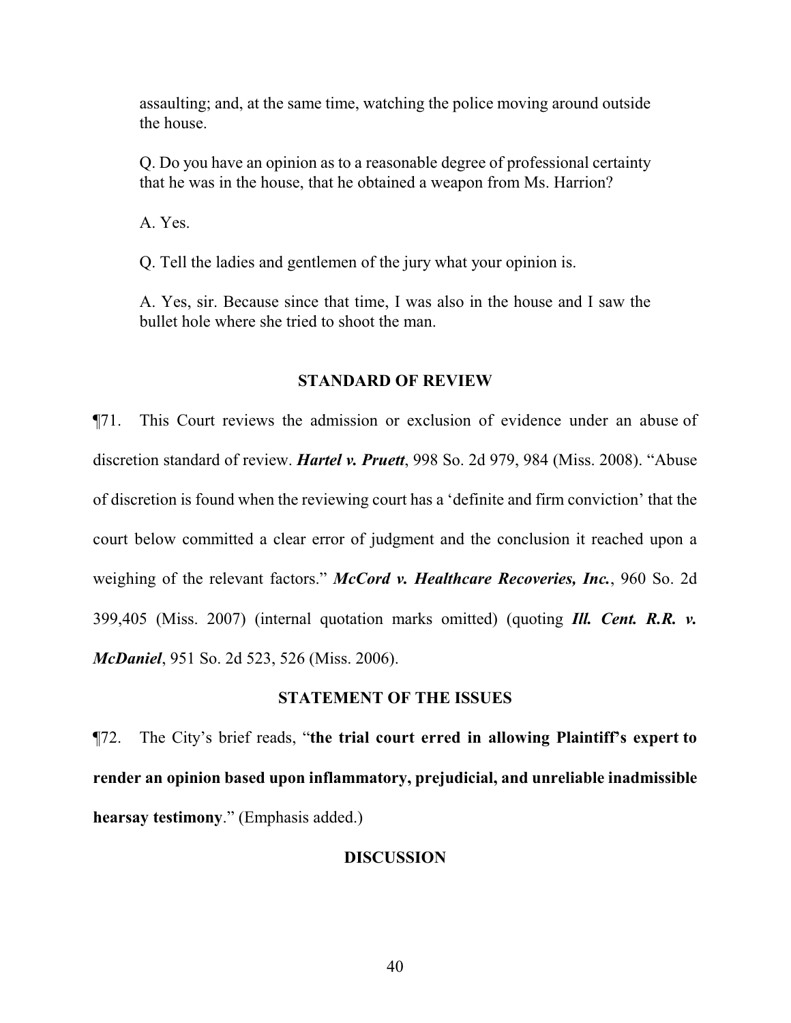assaulting; and, at the same time, watching the police moving around outside the house.

Q. Do you have an opinion as to a reasonable degree of professional certainty that he was in the house, that he obtained a weapon from Ms. Harrion?

A. Yes.

Q. Tell the ladies and gentlemen of the jury what your opinion is.

A. Yes, sir. Because since that time, I was also in the house and I saw the bullet hole where she tried to shoot the man.

#### **STANDARD OF REVIEW**

¶71. This Court reviews the admission or exclusion of evidence under an abuse of discretion standard of review. *Hartel v. Pruett*, 998 So. 2d 979, 984 (Miss. 2008). "Abuse of discretion is found when the reviewing court has a 'definite and firm conviction' that the court below committed a clear error of judgment and the conclusion it reached upon a weighing of the relevant factors." *McCord v. Healthcare Recoveries, Inc.*, 960 So. 2d 399,405 (Miss. 2007) (internal quotation marks omitted) (quoting *Ill. Cent. R.R. v. McDaniel*, 951 So. 2d 523, 526 (Miss. 2006).

# **STATEMENT OF THE ISSUES**

¶72. The City's brief reads, "**the trial court erred in allowing Plaintiff's expert to render an opinion based upon inflammatory, prejudicial, and unreliable inadmissible hearsay testimony**." (Emphasis added.)

#### **DISCUSSION**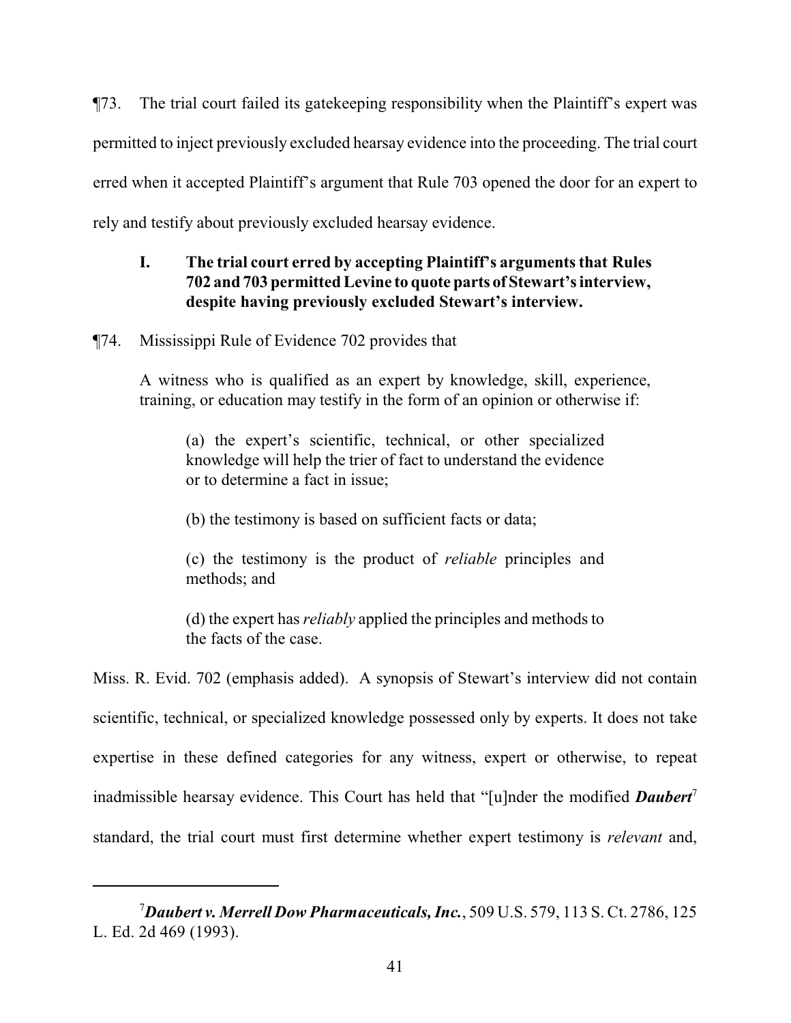¶73. The trial court failed its gatekeeping responsibility when the Plaintiff's expert was permitted to inject previously excluded hearsay evidence into the proceeding. The trial court erred when it accepted Plaintiff's argument that Rule 703 opened the door for an expert to rely and testify about previously excluded hearsay evidence.

# **I. The trial court erred by accepting Plaintiff's arguments that Rules 702 and 703 permitted Levine to quote parts of Stewart's interview, despite having previously excluded Stewart's interview.**

¶74. Mississippi Rule of Evidence 702 provides that

A witness who is qualified as an expert by knowledge, skill, experience, training, or education may testify in the form of an opinion or otherwise if:

(a) the expert's scientific, technical, or other specialized knowledge will help the trier of fact to understand the evidence or to determine a fact in issue;

(b) the testimony is based on sufficient facts or data;

(c) the testimony is the product of *reliable* principles and methods; and

(d) the expert has *reliably* applied the principles and methods to the facts of the case.

Miss. R. Evid. 702 (emphasis added). A synopsis of Stewart's interview did not contain scientific, technical, or specialized knowledge possessed only by experts. It does not take expertise in these defined categories for any witness, expert or otherwise, to repeat inadmissible hearsay evidence. This Court has held that "[u]nder the modified **Daubert**<sup>7</sup> standard, the trial court must first determine whether expert testimony is *relevant* and,

<sup>7</sup>*Daubert v. Merrell Dow Pharmaceuticals, Inc.*, 509 U.S. 579, 113 S. Ct. 2786, 125 L. Ed. 2d 469 (1993).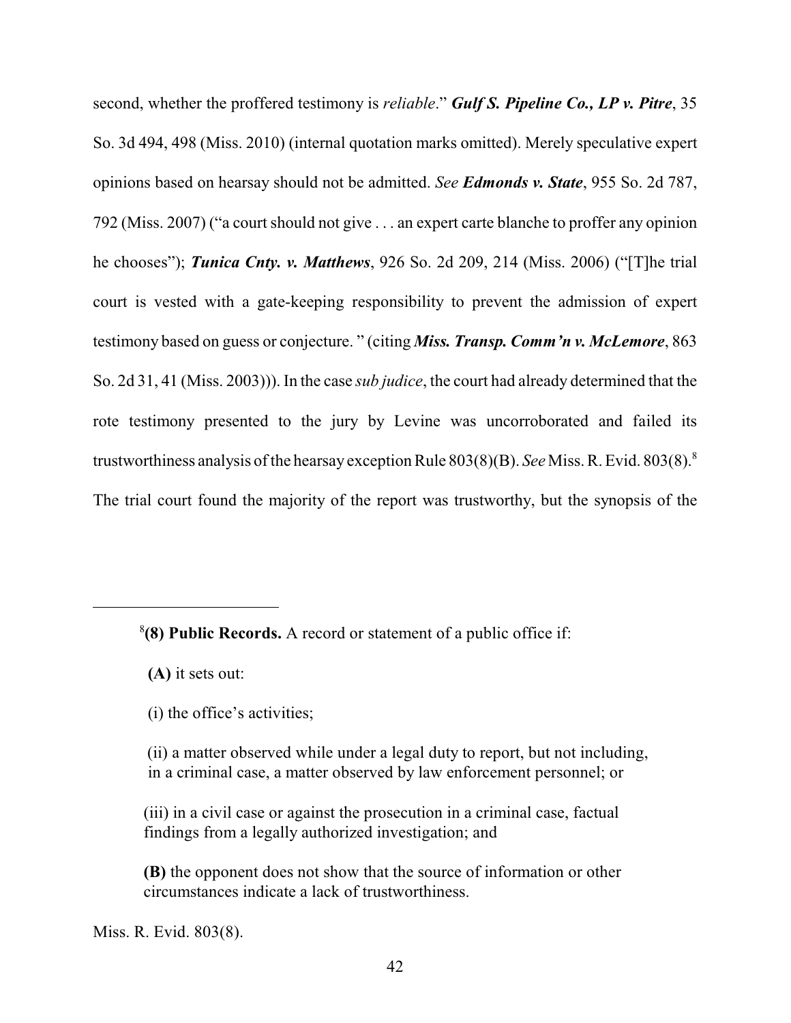second, whether the proffered testimony is *reliable*." *Gulf S. Pipeline Co., LP v. Pitre*, 35 So. 3d 494, 498 (Miss. 2010) (internal quotation marks omitted). Merely speculative expert opinions based on hearsay should not be admitted. *See Edmonds v. State*, 955 So. 2d 787, 792 (Miss. 2007) ("a court should not give . . . an expert carte blanche to proffer any opinion he chooses"); *Tunica Cnty. v. Matthews*, 926 So. 2d 209, 214 (Miss. 2006) ("[T]he trial court is vested with a gate-keeping responsibility to prevent the admission of expert testimony based on guess or conjecture. " (citing *Miss. Transp. Comm'n v. McLemore*, 863 So. 2d 31, 41 (Miss. 2003))). In the case *sub judice*, the court had already determined that the rote testimony presented to the jury by Levine was uncorroborated and failed its trustworthiness analysis of the hearsay exception Rule 803(8)(B). *See* Miss. R. Evid. 803(8).<sup>8</sup> The trial court found the majority of the report was trustworthy, but the synopsis of the

**(A)** it sets out:

<sup>8</sup> **(8) Public Records.** A record or statement of a public office if:

 <sup>(</sup>i) the office's activities;

 <sup>(</sup>ii) a matter observed while under a legal duty to report, but not including, in a criminal case, a matter observed by law enforcement personnel; or

 <sup>(</sup>iii) in a civil case or against the prosecution in a criminal case, factual findings from a legally authorized investigation; and

 **<sup>(</sup>B)** the opponent does not show that the source of information or other circumstances indicate a lack of trustworthiness.

Miss. R. Evid. 803(8).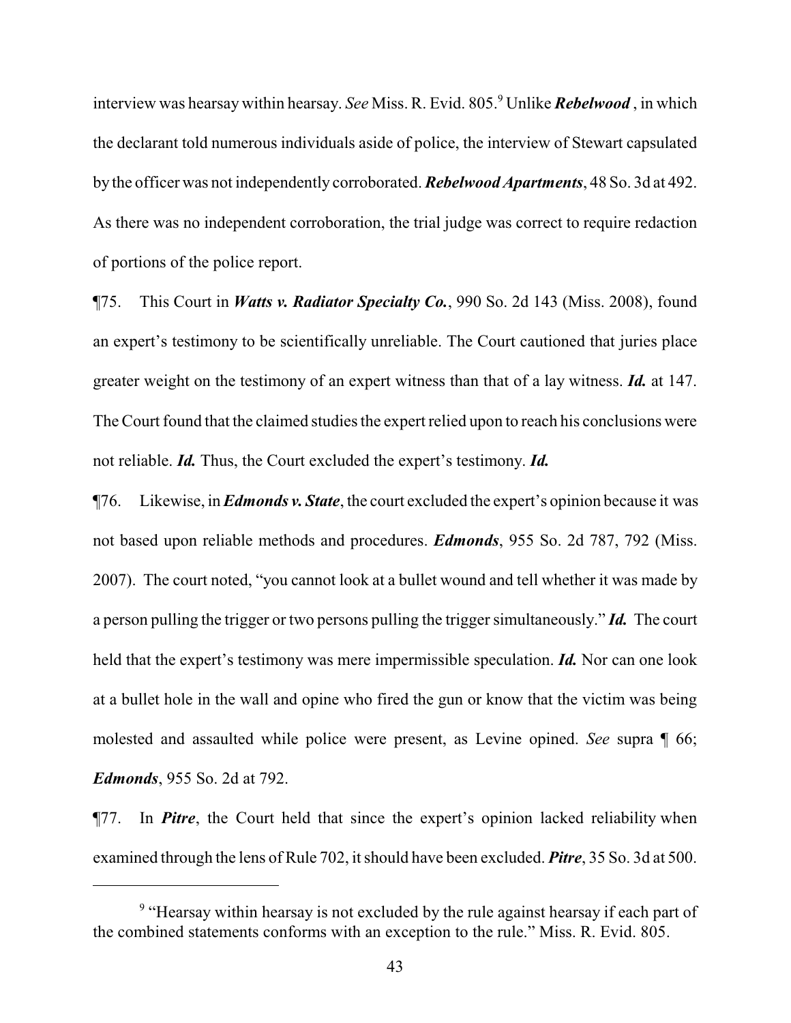interview was hearsay within hearsay. *See* Miss. R. Evid. 805.<sup>9</sup> Unlike *Rebelwood* , in which the declarant told numerous individuals aside of police, the interview of Stewart capsulated by the officer was not independently corroborated. *Rebelwood Apartments*, 48 So. 3d at 492. As there was no independent corroboration, the trial judge was correct to require redaction of portions of the police report.

¶75. This Court in *Watts v. Radiator Specialty Co.*, 990 So. 2d 143 (Miss. 2008), found an expert's testimony to be scientifically unreliable. The Court cautioned that juries place greater weight on the testimony of an expert witness than that of a lay witness. *Id.* at 147. The Court found that the claimed studies the expert relied upon to reach his conclusions were not reliable. *Id.* Thus, the Court excluded the expert's testimony. *Id.*

¶76. Likewise, in *Edmonds v. State*, the court excluded the expert's opinion because it was not based upon reliable methods and procedures. *Edmonds*, 955 So. 2d 787, 792 (Miss. 2007). The court noted, "you cannot look at a bullet wound and tell whether it was made by a person pulling the trigger or two persons pulling the trigger simultaneously." *Id.* The court held that the expert's testimony was mere impermissible speculation. *Id.* Nor can one look at a bullet hole in the wall and opine who fired the gun or know that the victim was being molested and assaulted while police were present, as Levine opined. *See* supra ¶ 66; *Edmonds*, 955 So. 2d at 792.

¶77. In *Pitre*, the Court held that since the expert's opinion lacked reliability when examined through the lens of Rule 702, it should have been excluded. *Pitre*, 35 So. 3d at 500.

<sup>&</sup>lt;sup>9</sup> "Hearsay within hearsay is not excluded by the rule against hearsay if each part of the combined statements conforms with an exception to the rule." Miss. R. Evid. 805.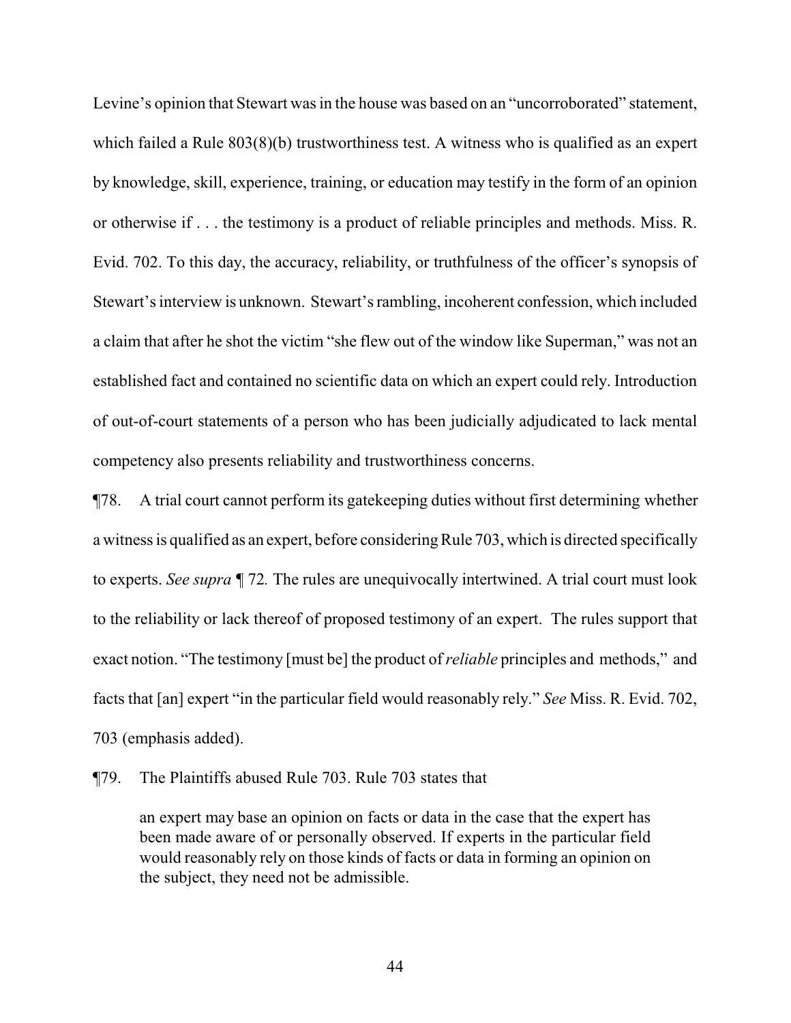Levine's opinion that Stewart was in the house was based on an "uncorroborated" statement, which failed a Rule 803(8)(b) trustworthiness test. A witness who is qualified as an expert by knowledge, skill, experience, training, or education may testify in the form of an opinion or otherwise if . . . the testimony is a product of reliable principles and methods. Miss. R. Evid. 702. To this day, the accuracy, reliability, or truthfulness of the officer's synopsis of Stewart's interview is unknown. Stewart's rambling, incoherent confession, which included a claim that after he shot the victim "she flew out of the window like Superman," was not an established fact and contained no scientific data on which an expert could rely. Introduction of out-of-court statements of a person who has been judicially adjudicated to lack mental competency also presents reliability and trustworthiness concerns.

¶78. A trial court cannot perform its gatekeeping duties without first determining whether a witness is qualified as an expert, before considering Rule 703, which is directed specifically to experts. *See supra ¶* 72*.* The rules are unequivocally intertwined. A trial court must look to the reliability or lack thereof of proposed testimony of an expert. The rules support that exact notion. "The testimony [must be] the product of*reliable* principles and methods," and facts that [an] expert "in the particular field would reasonably rely." *See* Miss. R. Evid. 702, 703 (emphasis added).

¶79. The Plaintiffs abused Rule 703. Rule 703 states that

an expert may base an opinion on facts or data in the case that the expert has been made aware of or personally observed. If experts in the particular field would reasonably rely on those kinds of facts or data in forming an opinion on the subject, they need not be admissible.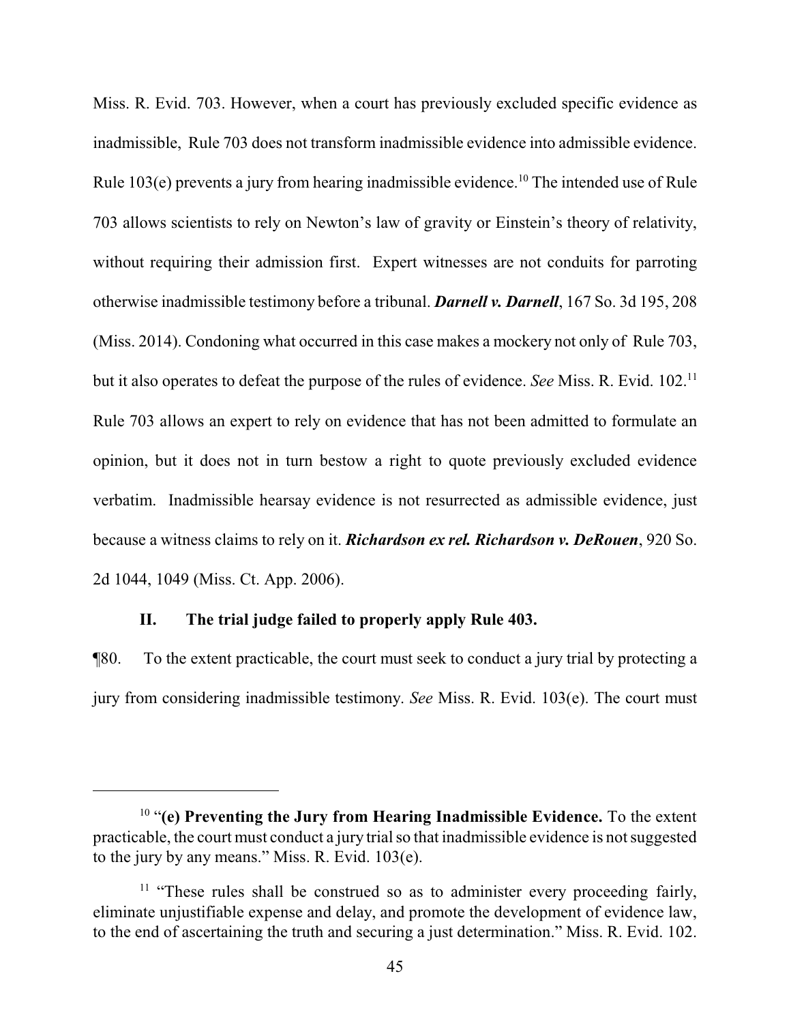Miss. R. Evid. 703. However, when a court has previously excluded specific evidence as inadmissible, Rule 703 does not transform inadmissible evidence into admissible evidence. Rule 103(e) prevents a jury from hearing inadmissible evidence.<sup>10</sup> The intended use of Rule 703 allows scientists to rely on Newton's law of gravity or Einstein's theory of relativity, without requiring their admission first. Expert witnesses are not conduits for parroting otherwise inadmissible testimony before a tribunal. *Darnell v. Darnell*, 167 So. 3d 195, 208 (Miss. 2014). Condoning what occurred in this case makes a mockery not only of Rule 703, but it also operates to defeat the purpose of the rules of evidence. *See* Miss. R. Evid. 102.<sup>11</sup> Rule 703 allows an expert to rely on evidence that has not been admitted to formulate an opinion, but it does not in turn bestow a right to quote previously excluded evidence verbatim. Inadmissible hearsay evidence is not resurrected as admissible evidence, just because a witness claims to rely on it. *Richardson ex rel. Richardson v. DeRouen*, 920 So. 2d 1044, 1049 (Miss. Ct. App. 2006).

#### **II. The trial judge failed to properly apply Rule 403.**

¶80. To the extent practicable, the court must seek to conduct a jury trial by protecting a jury from considering inadmissible testimony. *See* Miss. R. Evid. 103(e). The court must

<sup>10</sup> "**(e) Preventing the Jury from Hearing Inadmissible Evidence.** To the extent practicable, the court must conduct a jury trial so that inadmissible evidence is not suggested to the jury by any means." Miss. R. Evid. 103(e).

<sup>&</sup>lt;sup>11</sup> "These rules shall be construed so as to administer every proceeding fairly, eliminate unjustifiable expense and delay, and promote the development of evidence law, to the end of ascertaining the truth and securing a just determination." Miss. R. Evid. 102.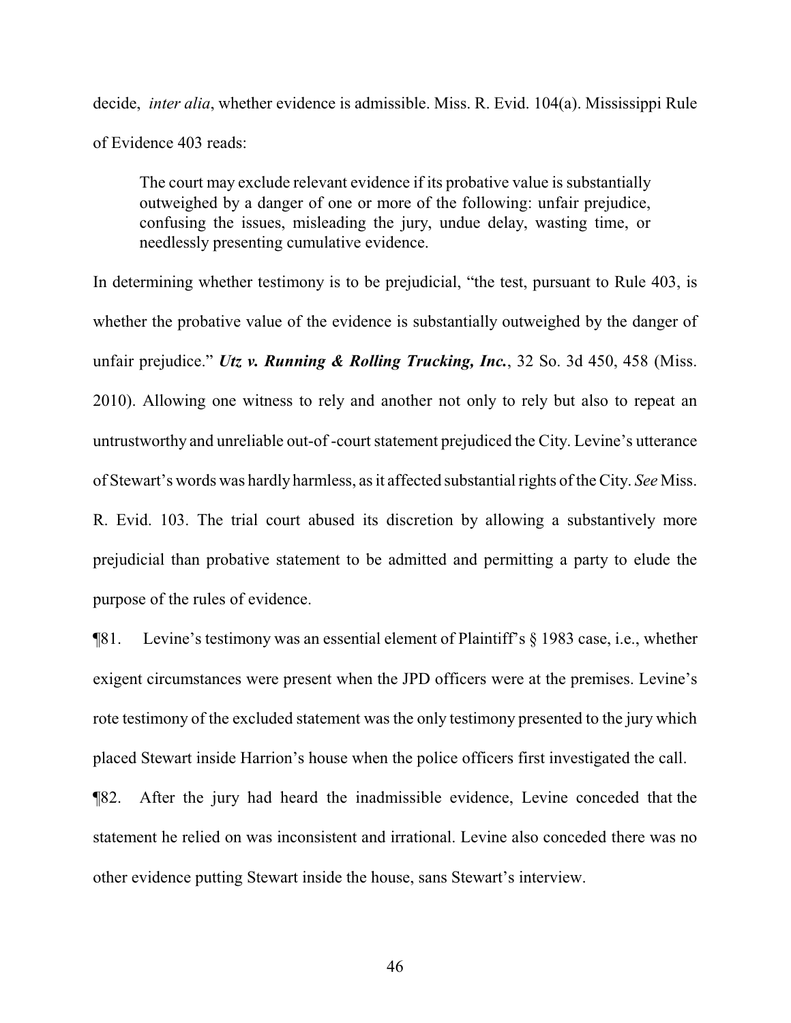decide, *inter alia*, whether evidence is admissible. Miss. R. Evid. 104(a). Mississippi Rule of Evidence 403 reads:

The court may exclude relevant evidence if its probative value is substantially outweighed by a danger of one or more of the following: unfair prejudice, confusing the issues, misleading the jury, undue delay, wasting time, or needlessly presenting cumulative evidence.

In determining whether testimony is to be prejudicial, "the test, pursuant to Rule 403, is whether the probative value of the evidence is substantially outweighed by the danger of unfair prejudice." *Utz v. Running & Rolling Trucking, Inc.*, 32 So. 3d 450, 458 (Miss. 2010). Allowing one witness to rely and another not only to rely but also to repeat an untrustworthy and unreliable out-of -court statement prejudiced the City. Levine's utterance of Stewart's words was hardly harmless, as it affected substantial rights of the City. *See* Miss. R. Evid. 103. The trial court abused its discretion by allowing a substantively more prejudicial than probative statement to be admitted and permitting a party to elude the purpose of the rules of evidence.

¶81. Levine's testimony was an essential element of Plaintiff's § 1983 case, i.e., whether exigent circumstances were present when the JPD officers were at the premises. Levine's rote testimony of the excluded statement was the only testimony presented to the jury which placed Stewart inside Harrion's house when the police officers first investigated the call.

¶82. After the jury had heard the inadmissible evidence, Levine conceded that the statement he relied on was inconsistent and irrational. Levine also conceded there was no other evidence putting Stewart inside the house, sans Stewart's interview.

46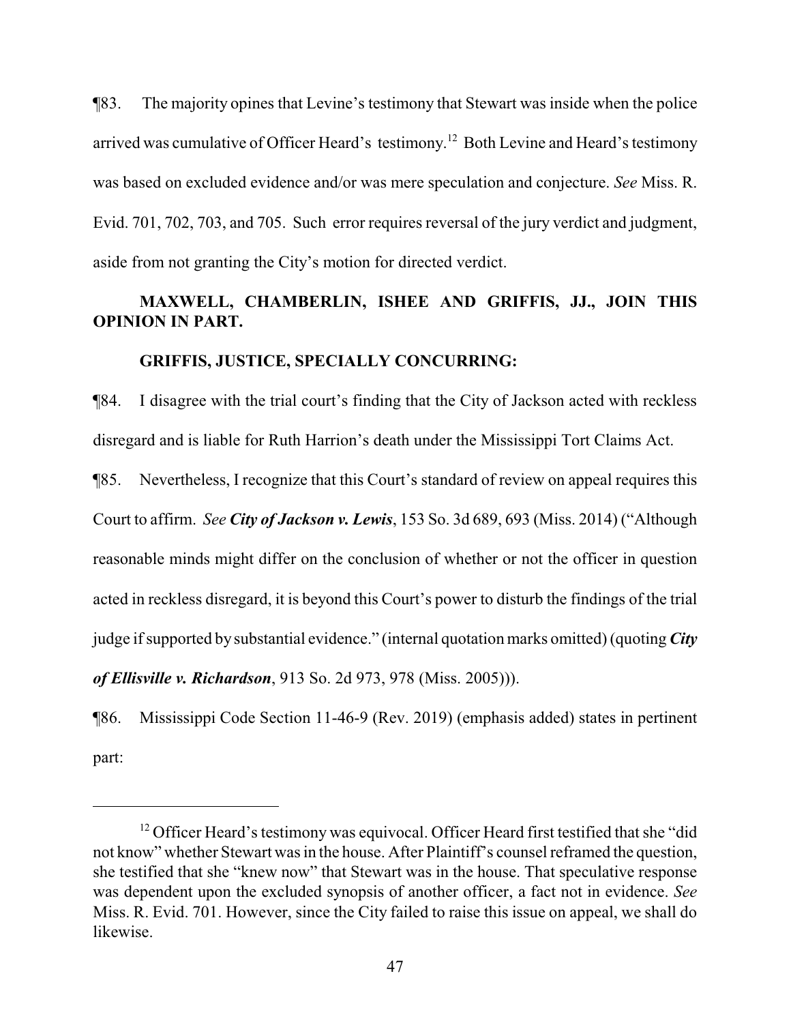¶83. The majority opines that Levine's testimony that Stewart was inside when the police arrived was cumulative of Officer Heard's testimony.<sup>12</sup> Both Levine and Heard's testimony was based on excluded evidence and/or was mere speculation and conjecture. *See* Miss. R. Evid. 701, 702, 703, and 705. Such error requires reversal of the jury verdict and judgment, aside from not granting the City's motion for directed verdict.

# **MAXWELL, CHAMBERLIN, ISHEE AND GRIFFIS, JJ., JOIN THIS OPINION IN PART.**

#### **GRIFFIS, JUSTICE, SPECIALLY CONCURRING:**

¶84. I disagree with the trial court's finding that the City of Jackson acted with reckless disregard and is liable for Ruth Harrion's death under the Mississippi Tort Claims Act.

¶85. Nevertheless, I recognize that this Court's standard of review on appeal requires this Court to affirm. *See City of Jackson v. Lewis*, 153 So. 3d 689, 693 (Miss. 2014) ("Although reasonable minds might differ on the conclusion of whether or not the officer in question acted in reckless disregard, it is beyond this Court's power to disturb the findings of the trial judge if supported by substantial evidence." (internal quotation marks omitted) (quoting *City of Ellisville v. Richardson*, 913 So. 2d 973, 978 (Miss. 2005))).

¶86. Mississippi Code Section 11-46-9 (Rev. 2019) (emphasis added) states in pertinent part:

<sup>&</sup>lt;sup>12</sup> Officer Heard's testimony was equivocal. Officer Heard first testified that she "did not know" whether Stewart was in the house. After Plaintiff's counsel reframed the question, she testified that she "knew now" that Stewart was in the house. That speculative response was dependent upon the excluded synopsis of another officer, a fact not in evidence. *See* Miss. R. Evid. 701. However, since the City failed to raise this issue on appeal, we shall do likewise.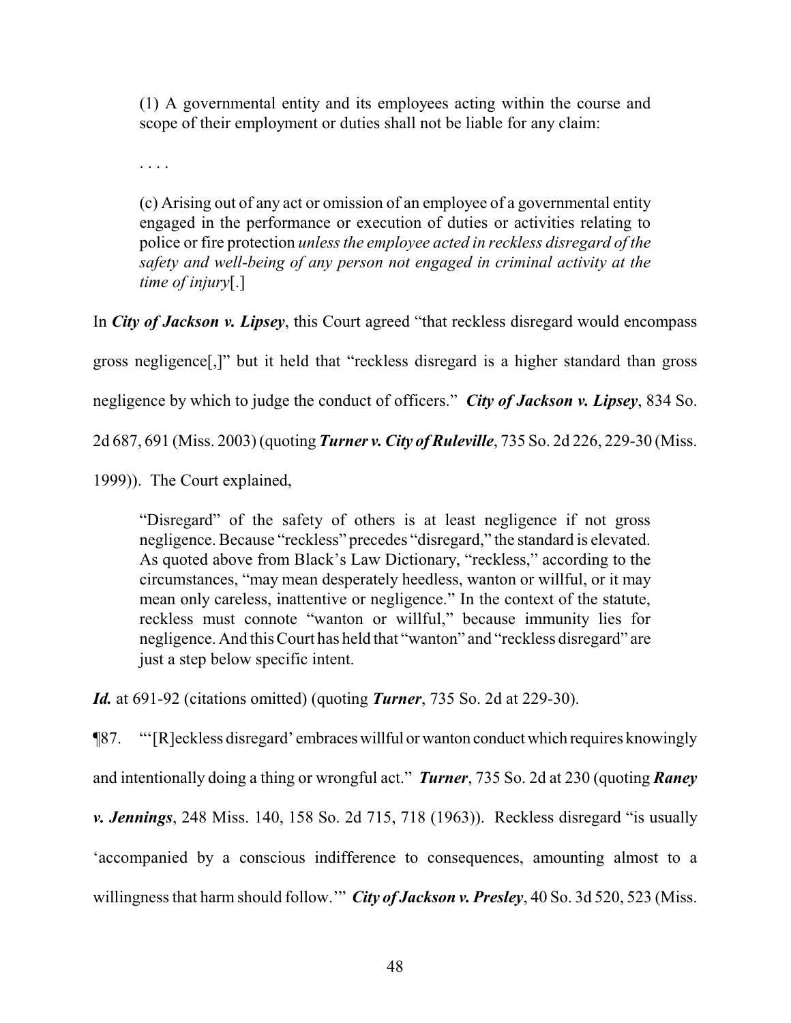(1) A governmental entity and its employees acting within the course and scope of their employment or duties shall not be liable for any claim:

. . . .

(c) Arising out of any act or omission of an employee of a governmental entity engaged in the performance or execution of duties or activities relating to police or fire protection *unless the employee acted in reckless disregard of the safety and well-being of any person not engaged in criminal activity at the time of injury*[.]

In *City of Jackson v. Lipsey*, this Court agreed "that reckless disregard would encompass

gross negligence[,]" but it held that "reckless disregard is a higher standard than gross

negligence by which to judge the conduct of officers." *City of Jackson v. Lipsey*, 834 So.

2d 687, 691 (Miss. 2003) (quoting *Turner v. City of Ruleville*, 735 So. 2d 226, 229-30 (Miss.

1999)). The Court explained,

"Disregard" of the safety of others is at least negligence if not gross negligence. Because "reckless" precedes "disregard," the standard is elevated. As quoted above from Black's Law Dictionary, "reckless," according to the circumstances, "may mean desperately heedless, wanton or willful, or it may mean only careless, inattentive or negligence." In the context of the statute, reckless must connote "wanton or willful," because immunity lies for negligence. And this Court has held that "wanton" and "reckless disregard" are just a step below specific intent.

*Id.* at 691-92 (citations omitted) (quoting *Turner*, 735 So. 2d at 229-30).

¶87. "'[R]eckless disregard' embraceswillful orwanton conductwhich requires knowingly and intentionally doing a thing or wrongful act." *Turner*, 735 So. 2d at 230 (quoting *Raney v. Jennings*, 248 Miss. 140, 158 So. 2d 715, 718 (1963)). Reckless disregard "is usually 'accompanied by a conscious indifference to consequences, amounting almost to a willingness that harm should follow.'" *City of Jackson v. Presley*, 40 So. 3d 520, 523 (Miss.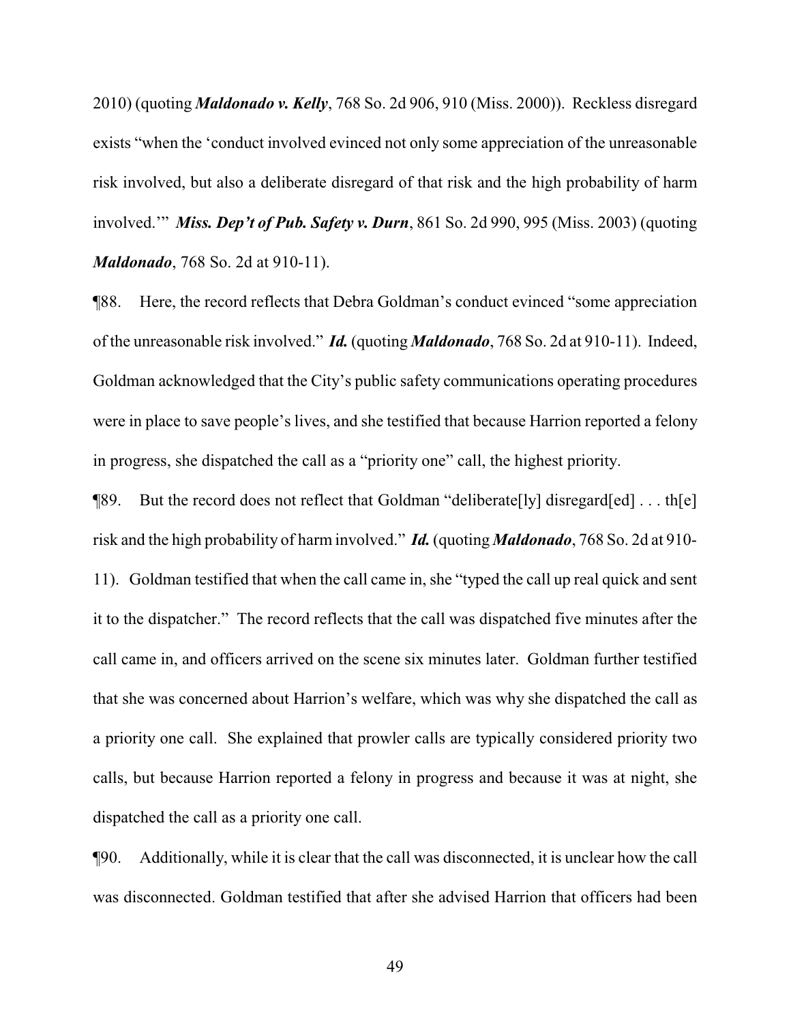2010) (quoting *Maldonado v. Kelly*, 768 So. 2d 906, 910 (Miss. 2000)). Reckless disregard exists "when the 'conduct involved evinced not only some appreciation of the unreasonable risk involved, but also a deliberate disregard of that risk and the high probability of harm involved.'" *Miss. Dep't of Pub. Safety v. Durn*, 861 So. 2d 990, 995 (Miss. 2003) (quoting *Maldonado*, 768 So. 2d at 910-11).

¶88. Here, the record reflects that Debra Goldman's conduct evinced "some appreciation of the unreasonable risk involved." *Id.* (quoting *Maldonado*, 768 So. 2d at 910-11). Indeed, Goldman acknowledged that the City's public safety communications operating procedures were in place to save people's lives, and she testified that because Harrion reported a felony in progress, she dispatched the call as a "priority one" call, the highest priority.

¶89. But the record does not reflect that Goldman "deliberate[ly] disregard[ed] . . . th[e] risk and the high probability of harm involved." *Id.* (quoting *Maldonado*, 768 So. 2d at 910- 11). Goldman testified that when the call came in, she "typed the call up real quick and sent it to the dispatcher." The record reflects that the call was dispatched five minutes after the call came in, and officers arrived on the scene six minutes later. Goldman further testified that she was concerned about Harrion's welfare, which was why she dispatched the call as a priority one call. She explained that prowler calls are typically considered priority two calls, but because Harrion reported a felony in progress and because it was at night, she dispatched the call as a priority one call.

¶90. Additionally, while it is clear that the call was disconnected, it is unclear how the call was disconnected. Goldman testified that after she advised Harrion that officers had been

49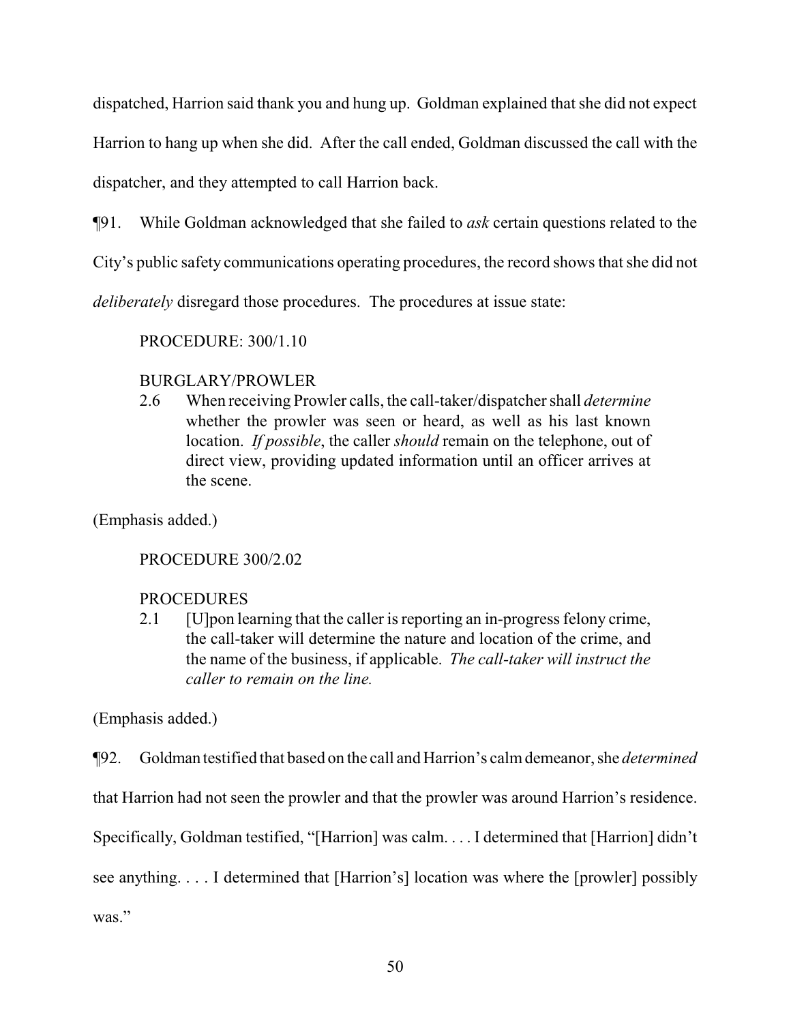dispatched, Harrion said thank you and hung up. Goldman explained that she did not expect

Harrion to hang up when she did. After the call ended, Goldman discussed the call with the

dispatcher, and they attempted to call Harrion back.

¶91. While Goldman acknowledged that she failed to *ask* certain questions related to the

City's public safety communications operating procedures, the record shows that she did not

*deliberately* disregard those procedures. The procedures at issue state:

PROCEDURE: 300/1.10

# BURGLARY/PROWLER

2.6 When receiving Prowler calls, the call-taker/dispatcher shall *determine* whether the prowler was seen or heard, as well as his last known location. *If possible*, the caller *should* remain on the telephone, out of direct view, providing updated information until an officer arrives at the scene.

(Emphasis added.)

PROCEDURE 300/2.02

# PROCEDURES

2.1 [U]pon learning that the caller is reporting an in-progress felony crime, the call-taker will determine the nature and location of the crime, and the name of the business, if applicable. *The call-taker will instruct the caller to remain on the line.*

(Emphasis added.)

¶92. Goldman testified that based on the call and Harrion's calmdemeanor, she *determined*

that Harrion had not seen the prowler and that the prowler was around Harrion's residence.

Specifically, Goldman testified, "[Harrion] was calm. . . . I determined that [Harrion] didn't

see anything. . . . I determined that [Harrion's] location was where the [prowler] possibly

was."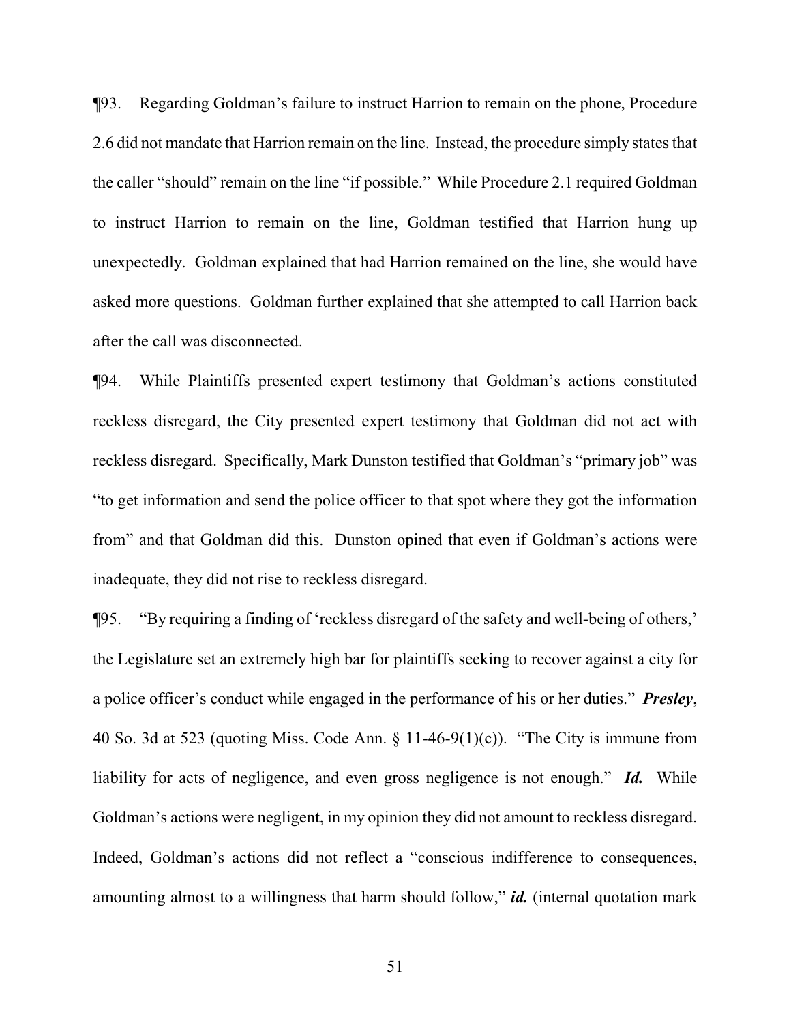¶93. Regarding Goldman's failure to instruct Harrion to remain on the phone, Procedure 2.6 did not mandate that Harrion remain on the line. Instead, the procedure simply states that the caller "should" remain on the line "if possible." While Procedure 2.1 required Goldman to instruct Harrion to remain on the line, Goldman testified that Harrion hung up unexpectedly. Goldman explained that had Harrion remained on the line, she would have asked more questions. Goldman further explained that she attempted to call Harrion back after the call was disconnected.

¶94. While Plaintiffs presented expert testimony that Goldman's actions constituted reckless disregard, the City presented expert testimony that Goldman did not act with reckless disregard. Specifically, Mark Dunston testified that Goldman's "primary job" was "to get information and send the police officer to that spot where they got the information from" and that Goldman did this. Dunston opined that even if Goldman's actions were inadequate, they did not rise to reckless disregard.

¶95. "By requiring a finding of 'reckless disregard of the safety and well-being of others,' the Legislature set an extremely high bar for plaintiffs seeking to recover against a city for a police officer's conduct while engaged in the performance of his or her duties." *Presley*, 40 So. 3d at 523 (quoting Miss. Code Ann. § 11-46-9(1)(c)). "The City is immune from liability for acts of negligence, and even gross negligence is not enough." *Id.* While Goldman's actions were negligent, in my opinion they did not amount to reckless disregard. Indeed, Goldman's actions did not reflect a "conscious indifference to consequences, amounting almost to a willingness that harm should follow," *id.* (internal quotation mark